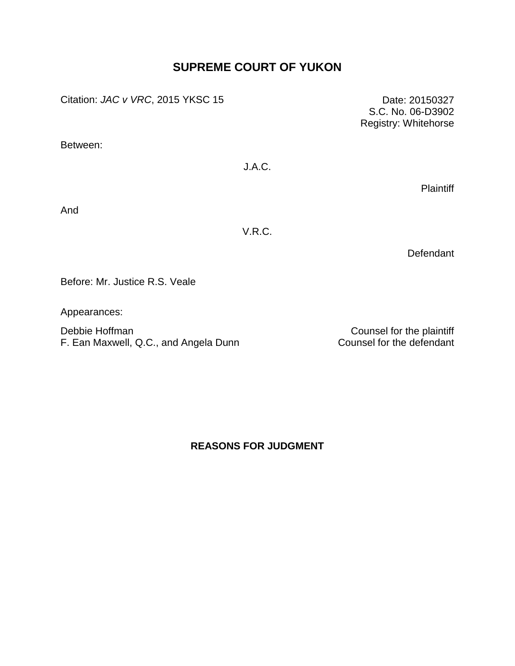# **SUPREME COURT OF YUKON**

Citation: *JAC v VRC*, 2015 YKSC 15 Date: 20150327

Between:

# J.A.C.

**Plaintiff** 

S.C. No. 06-D3902 Registry: Whitehorse

And

V.R.C.

**Defendant** 

Before: Mr. Justice R.S. Veale

Appearances:

Debbie Hoffman Counsel for the plaintiff<br>
F. Ean Maxwell, Q.C., and Angela Dunn Counsel for the defendant F. Ean Maxwell, Q.C., and Angela Dunn

**REASONS FOR JUDGMENT**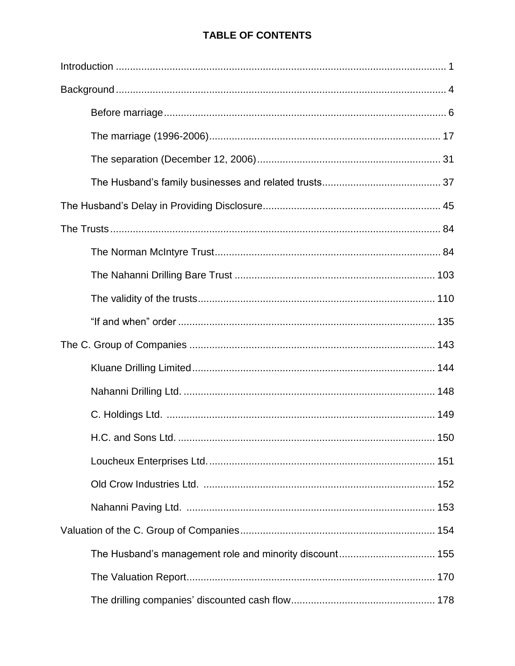# **TABLE OF CONTENTS**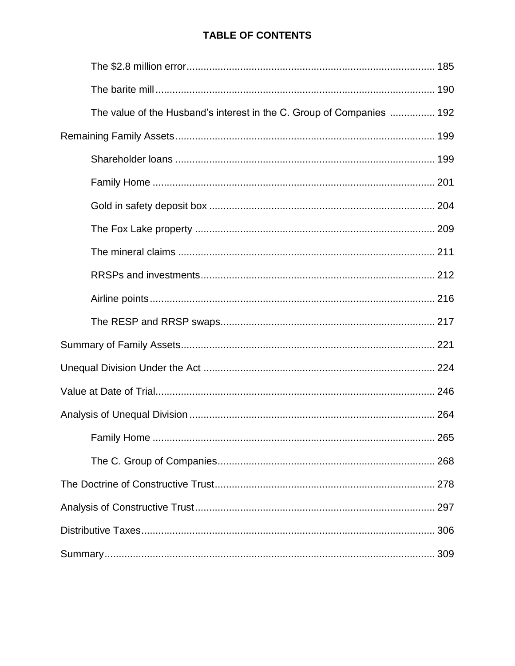# **TABLE OF CONTENTS**

| The value of the Husband's interest in the C. Group of Companies  192 |
|-----------------------------------------------------------------------|
|                                                                       |
|                                                                       |
|                                                                       |
|                                                                       |
|                                                                       |
|                                                                       |
|                                                                       |
|                                                                       |
|                                                                       |
|                                                                       |
|                                                                       |
|                                                                       |
|                                                                       |
|                                                                       |
|                                                                       |
|                                                                       |
|                                                                       |
|                                                                       |
|                                                                       |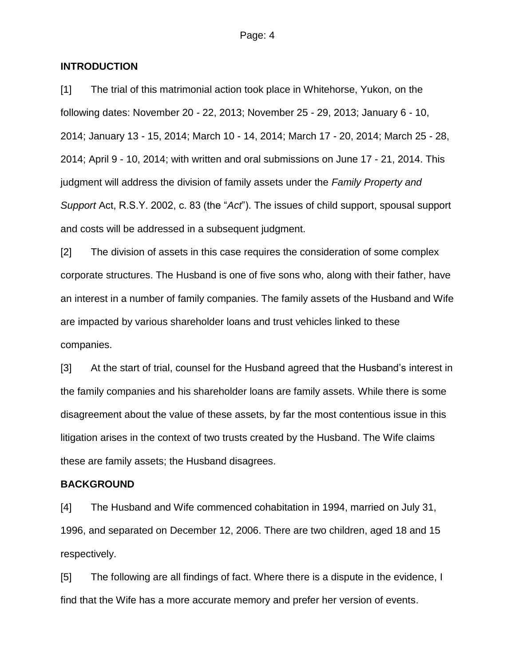### **INTRODUCTION**

[1] The trial of this matrimonial action took place in Whitehorse, Yukon, on the following dates: November 20 - 22, 2013; November 25 - 29, 2013; January 6 - 10, 2014; January 13 - 15, 2014; March 10 - 14, 2014; March 17 - 20, 2014; March 25 - 28, 2014; April 9 - 10, 2014; with written and oral submissions on June 17 - 21, 2014. This judgment will address the division of family assets under the *Family Property and Support* Act, R.S.Y. 2002, c. 83 (the "*Act*"). The issues of child support, spousal support and costs will be addressed in a subsequent judgment.

[2] The division of assets in this case requires the consideration of some complex corporate structures. The Husband is one of five sons who, along with their father, have an interest in a number of family companies. The family assets of the Husband and Wife are impacted by various shareholder loans and trust vehicles linked to these companies.

[3] At the start of trial, counsel for the Husband agreed that the Husband's interest in the family companies and his shareholder loans are family assets. While there is some disagreement about the value of these assets, by far the most contentious issue in this litigation arises in the context of two trusts created by the Husband. The Wife claims these are family assets; the Husband disagrees.

#### **BACKGROUND**

[4] The Husband and Wife commenced cohabitation in 1994, married on July 31, 1996, and separated on December 12, 2006. There are two children, aged 18 and 15 respectively.

[5] The following are all findings of fact. Where there is a dispute in the evidence, I find that the Wife has a more accurate memory and prefer her version of events.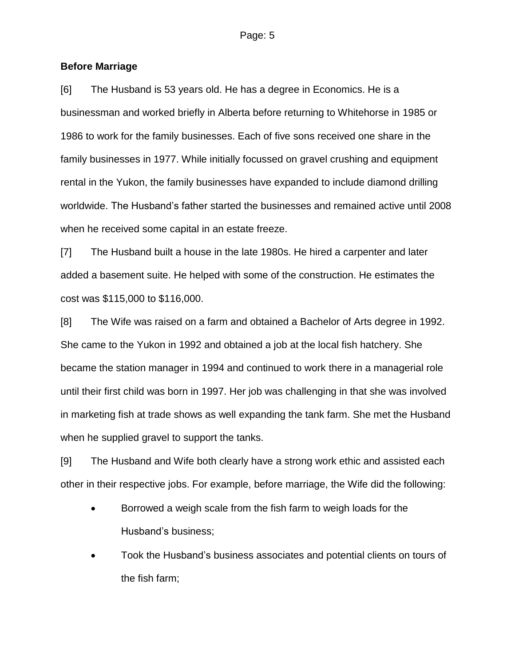### **Before Marriage**

[6] The Husband is 53 years old. He has a degree in Economics. He is a businessman and worked briefly in Alberta before returning to Whitehorse in 1985 or 1986 to work for the family businesses. Each of five sons received one share in the family businesses in 1977. While initially focussed on gravel crushing and equipment rental in the Yukon, the family businesses have expanded to include diamond drilling worldwide. The Husband's father started the businesses and remained active until 2008 when he received some capital in an estate freeze.

[7] The Husband built a house in the late 1980s. He hired a carpenter and later added a basement suite. He helped with some of the construction. He estimates the cost was \$115,000 to \$116,000.

[8] The Wife was raised on a farm and obtained a Bachelor of Arts degree in 1992. She came to the Yukon in 1992 and obtained a job at the local fish hatchery. She became the station manager in 1994 and continued to work there in a managerial role until their first child was born in 1997. Her job was challenging in that she was involved in marketing fish at trade shows as well expanding the tank farm. She met the Husband when he supplied gravel to support the tanks.

[9] The Husband and Wife both clearly have a strong work ethic and assisted each other in their respective jobs. For example, before marriage, the Wife did the following:

- Borrowed a weigh scale from the fish farm to weigh loads for the Husband's business;
- Took the Husband's business associates and potential clients on tours of the fish farm;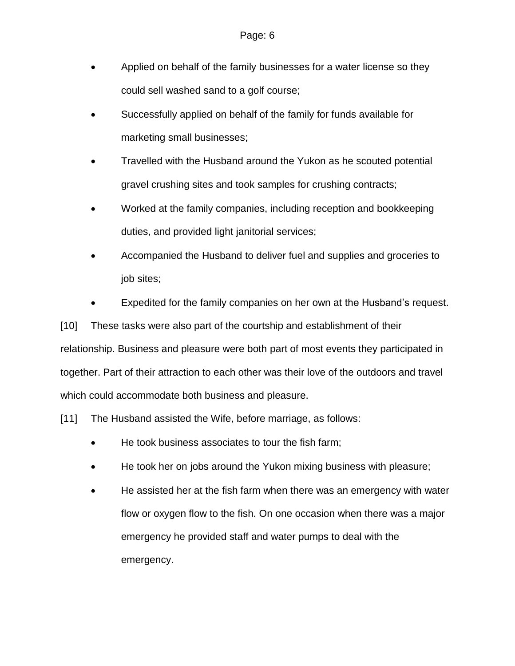- Applied on behalf of the family businesses for a water license so they could sell washed sand to a golf course;
- Successfully applied on behalf of the family for funds available for marketing small businesses;
- Travelled with the Husband around the Yukon as he scouted potential gravel crushing sites and took samples for crushing contracts;
- Worked at the family companies, including reception and bookkeeping duties, and provided light janitorial services;
- Accompanied the Husband to deliver fuel and supplies and groceries to job sites;
- Expedited for the family companies on her own at the Husband's request.

[10] These tasks were also part of the courtship and establishment of their relationship. Business and pleasure were both part of most events they participated in together. Part of their attraction to each other was their love of the outdoors and travel which could accommodate both business and pleasure.

[11] The Husband assisted the Wife, before marriage, as follows:

- He took business associates to tour the fish farm;
- He took her on jobs around the Yukon mixing business with pleasure;
- He assisted her at the fish farm when there was an emergency with water flow or oxygen flow to the fish. On one occasion when there was a major emergency he provided staff and water pumps to deal with the emergency.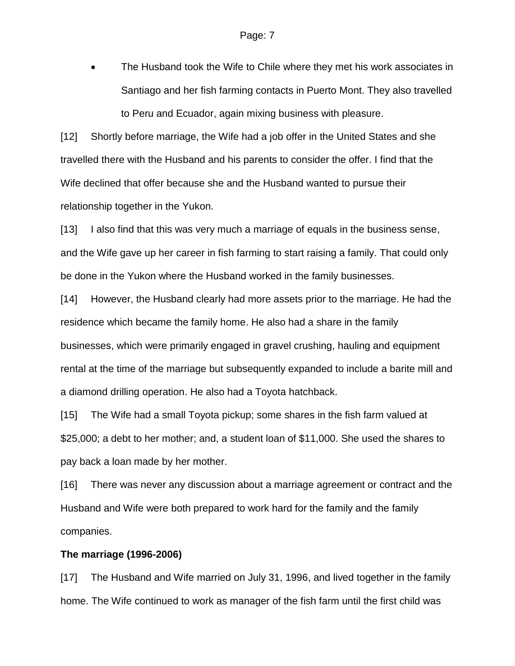The Husband took the Wife to Chile where they met his work associates in Santiago and her fish farming contacts in Puerto Mont. They also travelled to Peru and Ecuador, again mixing business with pleasure.

[12] Shortly before marriage, the Wife had a job offer in the United States and she travelled there with the Husband and his parents to consider the offer. I find that the Wife declined that offer because she and the Husband wanted to pursue their relationship together in the Yukon.

[13] I also find that this was very much a marriage of equals in the business sense, and the Wife gave up her career in fish farming to start raising a family. That could only be done in the Yukon where the Husband worked in the family businesses.

[14] However, the Husband clearly had more assets prior to the marriage. He had the residence which became the family home. He also had a share in the family businesses, which were primarily engaged in gravel crushing, hauling and equipment rental at the time of the marriage but subsequently expanded to include a barite mill and a diamond drilling operation. He also had a Toyota hatchback.

[15] The Wife had a small Toyota pickup; some shares in the fish farm valued at \$25,000; a debt to her mother; and, a student loan of \$11,000. She used the shares to pay back a loan made by her mother.

[16] There was never any discussion about a marriage agreement or contract and the Husband and Wife were both prepared to work hard for the family and the family companies.

### **The marriage (1996-2006)**

[17] The Husband and Wife married on July 31, 1996, and lived together in the family home. The Wife continued to work as manager of the fish farm until the first child was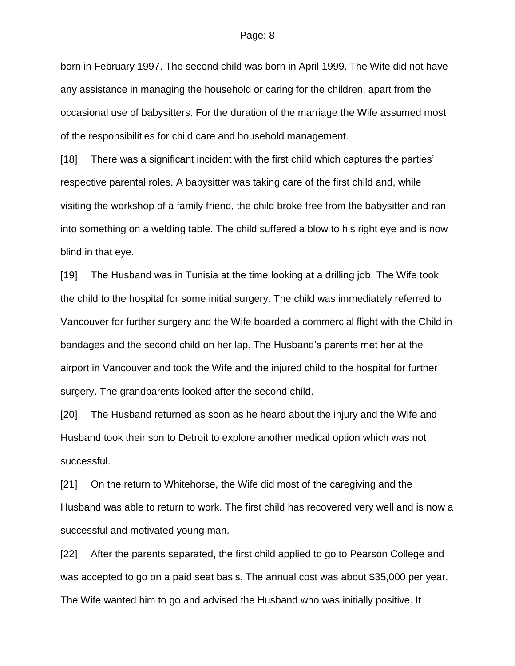born in February 1997. The second child was born in April 1999. The Wife did not have any assistance in managing the household or caring for the children, apart from the occasional use of babysitters. For the duration of the marriage the Wife assumed most of the responsibilities for child care and household management.

[18] There was a significant incident with the first child which captures the parties' respective parental roles. A babysitter was taking care of the first child and, while visiting the workshop of a family friend, the child broke free from the babysitter and ran into something on a welding table. The child suffered a blow to his right eye and is now blind in that eye.

[19] The Husband was in Tunisia at the time looking at a drilling job. The Wife took the child to the hospital for some initial surgery. The child was immediately referred to Vancouver for further surgery and the Wife boarded a commercial flight with the Child in bandages and the second child on her lap. The Husband's parents met her at the airport in Vancouver and took the Wife and the injured child to the hospital for further surgery. The grandparents looked after the second child.

[20] The Husband returned as soon as he heard about the injury and the Wife and Husband took their son to Detroit to explore another medical option which was not successful.

[21] On the return to Whitehorse, the Wife did most of the caregiving and the Husband was able to return to work. The first child has recovered very well and is now a successful and motivated young man.

[22] After the parents separated, the first child applied to go to Pearson College and was accepted to go on a paid seat basis. The annual cost was about \$35,000 per year. The Wife wanted him to go and advised the Husband who was initially positive. It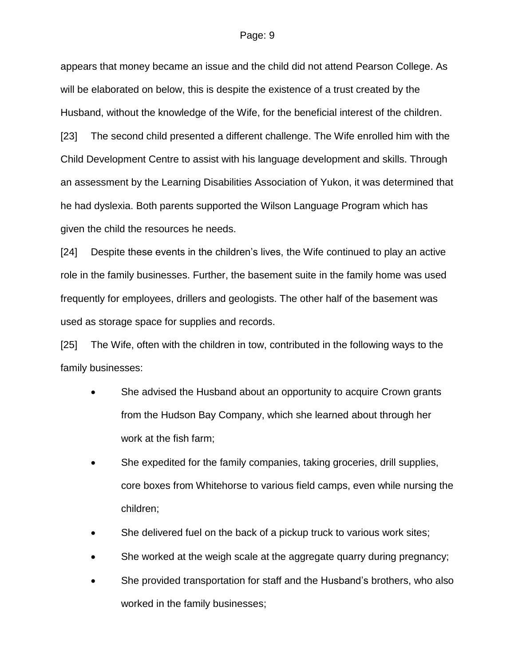appears that money became an issue and the child did not attend Pearson College. As will be elaborated on below, this is despite the existence of a trust created by the Husband, without the knowledge of the Wife, for the beneficial interest of the children.

[23] The second child presented a different challenge. The Wife enrolled him with the Child Development Centre to assist with his language development and skills. Through an assessment by the Learning Disabilities Association of Yukon, it was determined that he had dyslexia. Both parents supported the Wilson Language Program which has given the child the resources he needs.

[24] Despite these events in the children's lives, the Wife continued to play an active role in the family businesses. Further, the basement suite in the family home was used frequently for employees, drillers and geologists. The other half of the basement was used as storage space for supplies and records.

[25] The Wife, often with the children in tow, contributed in the following ways to the family businesses:

- She advised the Husband about an opportunity to acquire Crown grants from the Hudson Bay Company, which she learned about through her work at the fish farm;
- She expedited for the family companies, taking groceries, drill supplies, core boxes from Whitehorse to various field camps, even while nursing the children;
- She delivered fuel on the back of a pickup truck to various work sites;
- She worked at the weigh scale at the aggregate quarry during pregnancy;
- She provided transportation for staff and the Husband's brothers, who also worked in the family businesses;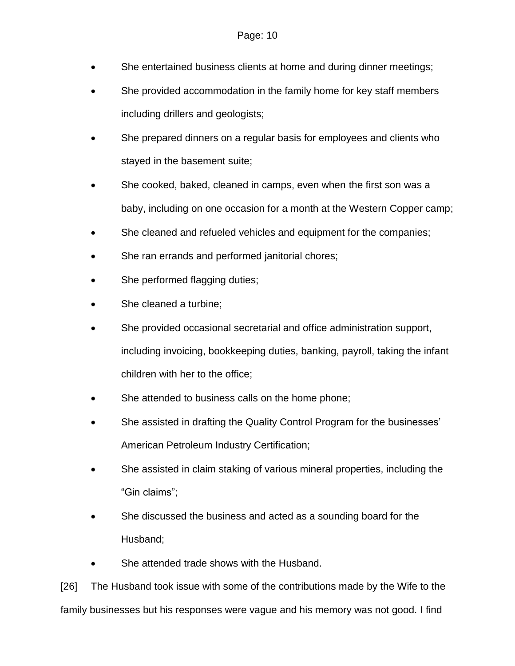- She entertained business clients at home and during dinner meetings;
- She provided accommodation in the family home for key staff members including drillers and geologists;
- She prepared dinners on a regular basis for employees and clients who stayed in the basement suite;
- She cooked, baked, cleaned in camps, even when the first son was a baby, including on one occasion for a month at the Western Copper camp;
- She cleaned and refueled vehicles and equipment for the companies;
- She ran errands and performed janitorial chores;
- She performed flagging duties;
- She cleaned a turbine;
- She provided occasional secretarial and office administration support, including invoicing, bookkeeping duties, banking, payroll, taking the infant children with her to the office;
- She attended to business calls on the home phone;
- She assisted in drafting the Quality Control Program for the businesses' American Petroleum Industry Certification;
- She assisted in claim staking of various mineral properties, including the "Gin claims";
- She discussed the business and acted as a sounding board for the Husband;
- She attended trade shows with the Husband.

[26] The Husband took issue with some of the contributions made by the Wife to the family businesses but his responses were vague and his memory was not good. I find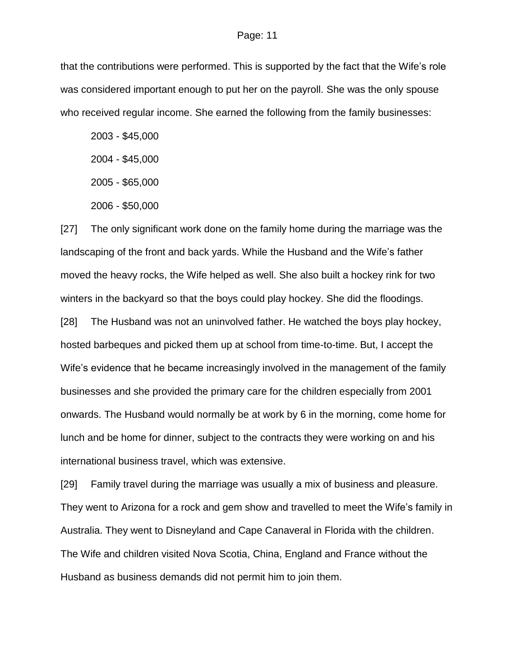that the contributions were performed. This is supported by the fact that the Wife's role was considered important enough to put her on the payroll. She was the only spouse who received regular income. She earned the following from the family businesses:

2003 - \$45,000

2004 - \$45,000

2005 - \$65,000

2006 - \$50,000

[27] The only significant work done on the family home during the marriage was the landscaping of the front and back yards. While the Husband and the Wife's father moved the heavy rocks, the Wife helped as well. She also built a hockey rink for two winters in the backyard so that the boys could play hockey. She did the floodings.

[28] The Husband was not an uninvolved father. He watched the boys play hockey, hosted barbeques and picked them up at school from time-to-time. But, I accept the Wife's evidence that he became increasingly involved in the management of the family businesses and she provided the primary care for the children especially from 2001 onwards. The Husband would normally be at work by 6 in the morning, come home for lunch and be home for dinner, subject to the contracts they were working on and his international business travel, which was extensive.

[29] Family travel during the marriage was usually a mix of business and pleasure. They went to Arizona for a rock and gem show and travelled to meet the Wife's family in Australia. They went to Disneyland and Cape Canaveral in Florida with the children. The Wife and children visited Nova Scotia, China, England and France without the Husband as business demands did not permit him to join them.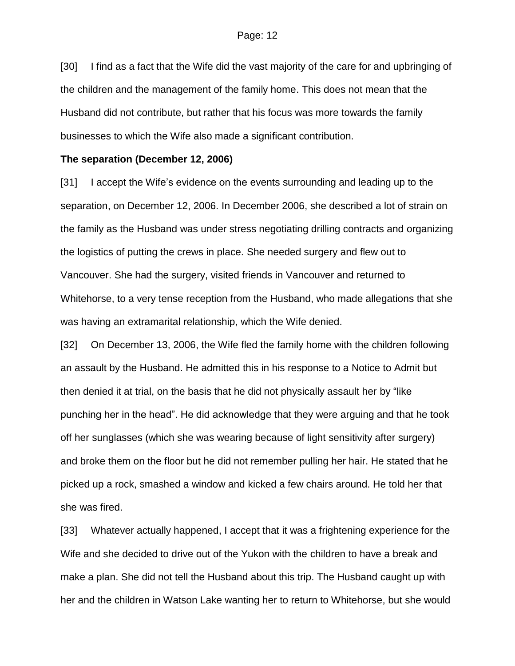[30] I find as a fact that the Wife did the vast majority of the care for and upbringing of the children and the management of the family home. This does not mean that the Husband did not contribute, but rather that his focus was more towards the family businesses to which the Wife also made a significant contribution.

#### **The separation (December 12, 2006)**

[31] I accept the Wife's evidence on the events surrounding and leading up to the separation, on December 12, 2006. In December 2006, she described a lot of strain on the family as the Husband was under stress negotiating drilling contracts and organizing the logistics of putting the crews in place. She needed surgery and flew out to Vancouver. She had the surgery, visited friends in Vancouver and returned to Whitehorse, to a very tense reception from the Husband, who made allegations that she was having an extramarital relationship, which the Wife denied.

[32] On December 13, 2006, the Wife fled the family home with the children following an assault by the Husband. He admitted this in his response to a Notice to Admit but then denied it at trial, on the basis that he did not physically assault her by "like punching her in the head". He did acknowledge that they were arguing and that he took off her sunglasses (which she was wearing because of light sensitivity after surgery) and broke them on the floor but he did not remember pulling her hair. He stated that he picked up a rock, smashed a window and kicked a few chairs around. He told her that she was fired.

[33] Whatever actually happened, I accept that it was a frightening experience for the Wife and she decided to drive out of the Yukon with the children to have a break and make a plan. She did not tell the Husband about this trip. The Husband caught up with her and the children in Watson Lake wanting her to return to Whitehorse, but she would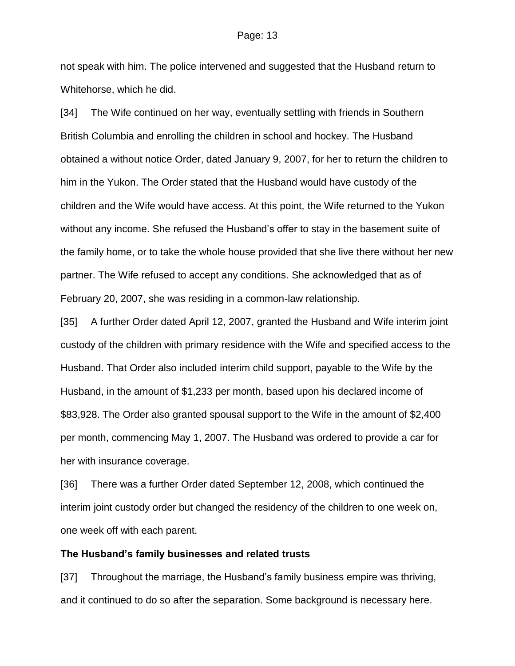not speak with him. The police intervened and suggested that the Husband return to Whitehorse, which he did.

[34] The Wife continued on her way, eventually settling with friends in Southern British Columbia and enrolling the children in school and hockey. The Husband obtained a without notice Order, dated January 9, 2007, for her to return the children to him in the Yukon. The Order stated that the Husband would have custody of the children and the Wife would have access. At this point, the Wife returned to the Yukon without any income. She refused the Husband's offer to stay in the basement suite of the family home, or to take the whole house provided that she live there without her new partner. The Wife refused to accept any conditions. She acknowledged that as of February 20, 2007, she was residing in a common-law relationship.

[35] A further Order dated April 12, 2007, granted the Husband and Wife interim joint custody of the children with primary residence with the Wife and specified access to the Husband. That Order also included interim child support, payable to the Wife by the Husband, in the amount of \$1,233 per month, based upon his declared income of \$83,928. The Order also granted spousal support to the Wife in the amount of \$2,400 per month, commencing May 1, 2007. The Husband was ordered to provide a car for her with insurance coverage.

[36] There was a further Order dated September 12, 2008, which continued the interim joint custody order but changed the residency of the children to one week on, one week off with each parent.

### **The Husband's family businesses and related trusts**

[37] Throughout the marriage, the Husband's family business empire was thriving, and it continued to do so after the separation. Some background is necessary here.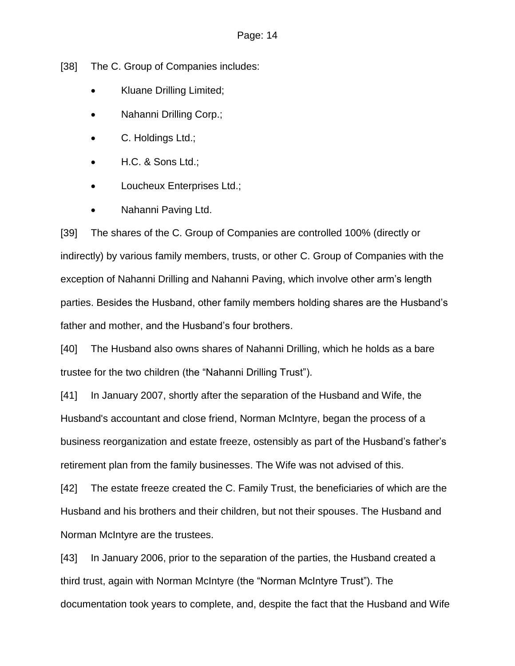[38] The C. Group of Companies includes:

- Kluane Drilling Limited;
- Nahanni Drilling Corp.;
- C. Holdings Ltd.;
- H.C. & Sons Ltd.;
- Loucheux Enterprises Ltd.;
- Nahanni Paving Ltd.

[39] The shares of the C. Group of Companies are controlled 100% (directly or indirectly) by various family members, trusts, or other C. Group of Companies with the exception of Nahanni Drilling and Nahanni Paving, which involve other arm's length parties. Besides the Husband, other family members holding shares are the Husband's father and mother, and the Husband's four brothers.

[40] The Husband also owns shares of Nahanni Drilling, which he holds as a bare trustee for the two children (the "Nahanni Drilling Trust").

[41] In January 2007, shortly after the separation of the Husband and Wife, the Husband's accountant and close friend, Norman McIntyre, began the process of a business reorganization and estate freeze, ostensibly as part of the Husband's father's retirement plan from the family businesses. The Wife was not advised of this.

[42] The estate freeze created the C. Family Trust, the beneficiaries of which are the Husband and his brothers and their children, but not their spouses. The Husband and Norman McIntyre are the trustees.

[43] In January 2006, prior to the separation of the parties, the Husband created a third trust, again with Norman McIntyre (the "Norman McIntyre Trust"). The documentation took years to complete, and, despite the fact that the Husband and Wife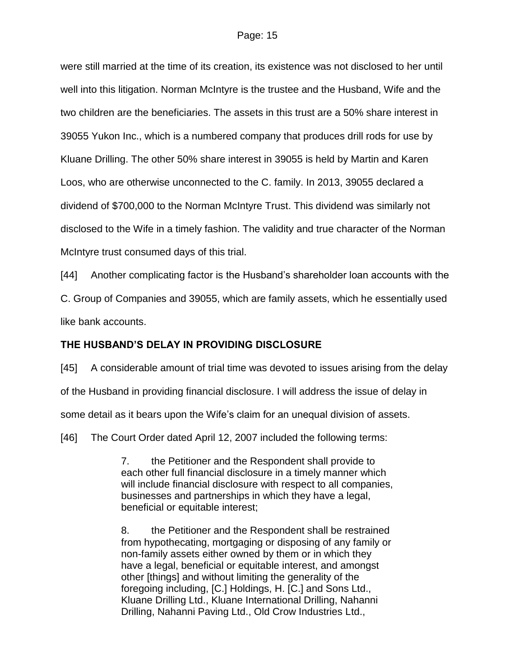were still married at the time of its creation, its existence was not disclosed to her until well into this litigation. Norman McIntyre is the trustee and the Husband, Wife and the two children are the beneficiaries. The assets in this trust are a 50% share interest in 39055 Yukon Inc., which is a numbered company that produces drill rods for use by Kluane Drilling. The other 50% share interest in 39055 is held by Martin and Karen Loos, who are otherwise unconnected to the C. family. In 2013, 39055 declared a dividend of \$700,000 to the Norman McIntyre Trust. This dividend was similarly not disclosed to the Wife in a timely fashion. The validity and true character of the Norman McIntyre trust consumed days of this trial.

[44] Another complicating factor is the Husband's shareholder loan accounts with the C. Group of Companies and 39055, which are family assets, which he essentially used like bank accounts.

## **THE HUSBAND'S DELAY IN PROVIDING DISCLOSURE**

[45] A considerable amount of trial time was devoted to issues arising from the delay of the Husband in providing financial disclosure. I will address the issue of delay in some detail as it bears upon the Wife's claim for an unequal division of assets.

[46] The Court Order dated April 12, 2007 included the following terms:

7. the Petitioner and the Respondent shall provide to each other full financial disclosure in a timely manner which will include financial disclosure with respect to all companies, businesses and partnerships in which they have a legal, beneficial or equitable interest;

8. the Petitioner and the Respondent shall be restrained from hypothecating, mortgaging or disposing of any family or non-family assets either owned by them or in which they have a legal, beneficial or equitable interest, and amongst other [things] and without limiting the generality of the foregoing including, [C.] Holdings, H. [C.] and Sons Ltd., Kluane Drilling Ltd., Kluane International Drilling, Nahanni Drilling, Nahanni Paving Ltd., Old Crow Industries Ltd.,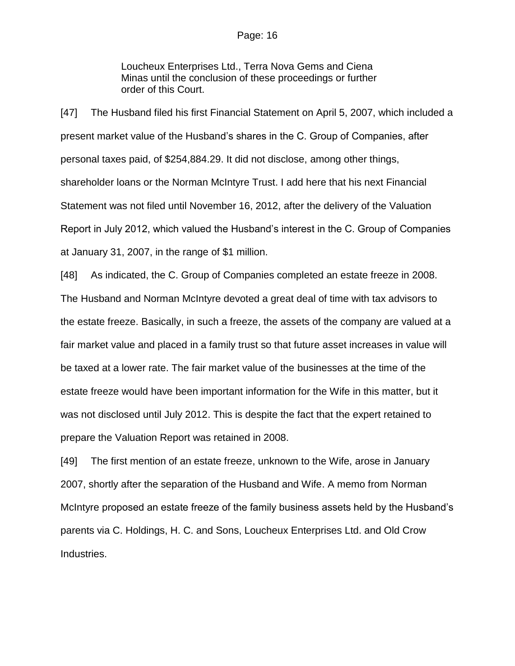Loucheux Enterprises Ltd., Terra Nova Gems and Ciena Minas until the conclusion of these proceedings or further order of this Court.

[47] The Husband filed his first Financial Statement on April 5, 2007, which included a present market value of the Husband's shares in the C. Group of Companies, after personal taxes paid, of \$254,884.29. It did not disclose, among other things, shareholder loans or the Norman McIntyre Trust. I add here that his next Financial Statement was not filed until November 16, 2012, after the delivery of the Valuation Report in July 2012, which valued the Husband's interest in the C. Group of Companies at January 31, 2007, in the range of \$1 million.

[48] As indicated, the C. Group of Companies completed an estate freeze in 2008. The Husband and Norman McIntyre devoted a great deal of time with tax advisors to the estate freeze. Basically, in such a freeze, the assets of the company are valued at a fair market value and placed in a family trust so that future asset increases in value will be taxed at a lower rate. The fair market value of the businesses at the time of the estate freeze would have been important information for the Wife in this matter, but it was not disclosed until July 2012. This is despite the fact that the expert retained to prepare the Valuation Report was retained in 2008.

[49] The first mention of an estate freeze, unknown to the Wife, arose in January 2007, shortly after the separation of the Husband and Wife. A memo from Norman McIntyre proposed an estate freeze of the family business assets held by the Husband's parents via C. Holdings, H. C. and Sons, Loucheux Enterprises Ltd. and Old Crow Industries.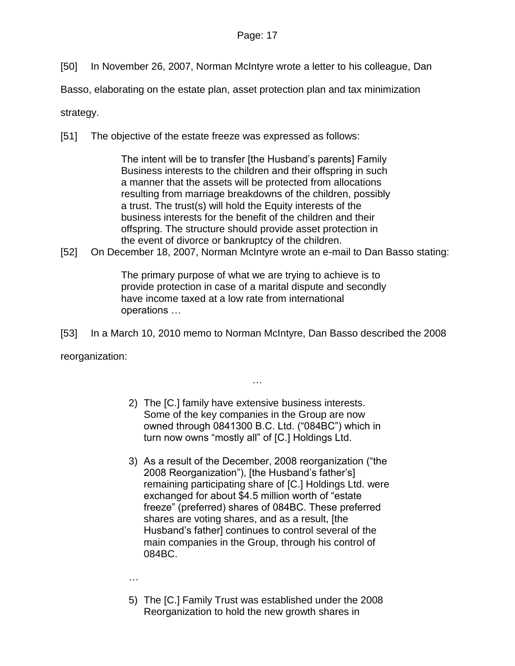[50] In November 26, 2007, Norman McIntyre wrote a letter to his colleague, Dan

Basso, elaborating on the estate plan, asset protection plan and tax minimization

strategy.

[51] The objective of the estate freeze was expressed as follows:

The intent will be to transfer [the Husband's parents] Family Business interests to the children and their offspring in such a manner that the assets will be protected from allocations resulting from marriage breakdowns of the children, possibly a trust. The trust(s) will hold the Equity interests of the business interests for the benefit of the children and their offspring. The structure should provide asset protection in the event of divorce or bankruptcy of the children.

[52] On December 18, 2007, Norman McIntyre wrote an e-mail to Dan Basso stating:

The primary purpose of what we are trying to achieve is to provide protection in case of a marital dispute and secondly have income taxed at a low rate from international operations …

[53] In a March 10, 2010 memo to Norman McIntyre, Dan Basso described the 2008

reorganization:

2) The [C.] family have extensive business interests. Some of the key companies in the Group are now owned through 0841300 B.C. Ltd. ("084BC") which in turn now owns "mostly all" of [C.] Holdings Ltd.

…

3) As a result of the December, 2008 reorganization ("the 2008 Reorganization"), [the Husband's father's] remaining participating share of [C.] Holdings Ltd. were exchanged for about \$4.5 million worth of "estate freeze" (preferred) shares of 084BC. These preferred shares are voting shares, and as a result, [the Husband's father] continues to control several of the main companies in the Group, through his control of 084BC.

…

5) The [C.] Family Trust was established under the 2008 Reorganization to hold the new growth shares in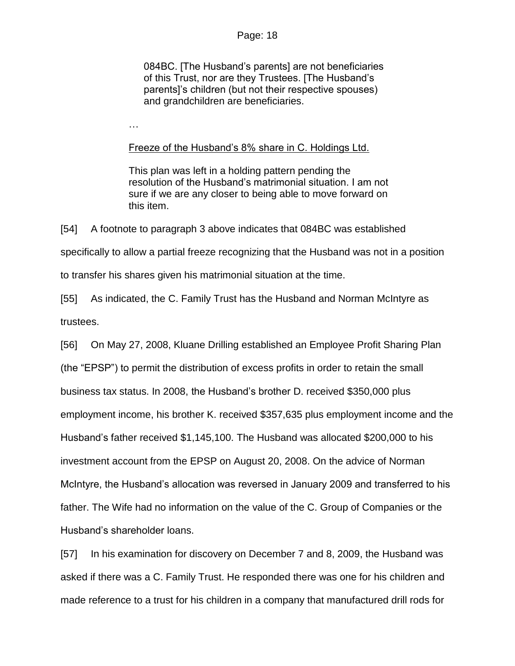084BC. [The Husband's parents] are not beneficiaries of this Trust, nor are they Trustees. [The Husband's parents]'s children (but not their respective spouses) and grandchildren are beneficiaries.

…

### Freeze of the Husband's 8% share in C. Holdings Ltd.

This plan was left in a holding pattern pending the resolution of the Husband's matrimonial situation. I am not sure if we are any closer to being able to move forward on this item.

[54] A footnote to paragraph 3 above indicates that 084BC was established specifically to allow a partial freeze recognizing that the Husband was not in a position to transfer his shares given his matrimonial situation at the time.

[55] As indicated, the C. Family Trust has the Husband and Norman McIntyre as trustees.

[56] On May 27, 2008, Kluane Drilling established an Employee Profit Sharing Plan (the "EPSP") to permit the distribution of excess profits in order to retain the small business tax status. In 2008, the Husband's brother D. received \$350,000 plus employment income, his brother K. received \$357,635 plus employment income and the Husband's father received \$1,145,100. The Husband was allocated \$200,000 to his investment account from the EPSP on August 20, 2008. On the advice of Norman McIntyre, the Husband's allocation was reversed in January 2009 and transferred to his father. The Wife had no information on the value of the C. Group of Companies or the Husband's shareholder loans.

[57] In his examination for discovery on December 7 and 8, 2009, the Husband was asked if there was a C. Family Trust. He responded there was one for his children and made reference to a trust for his children in a company that manufactured drill rods for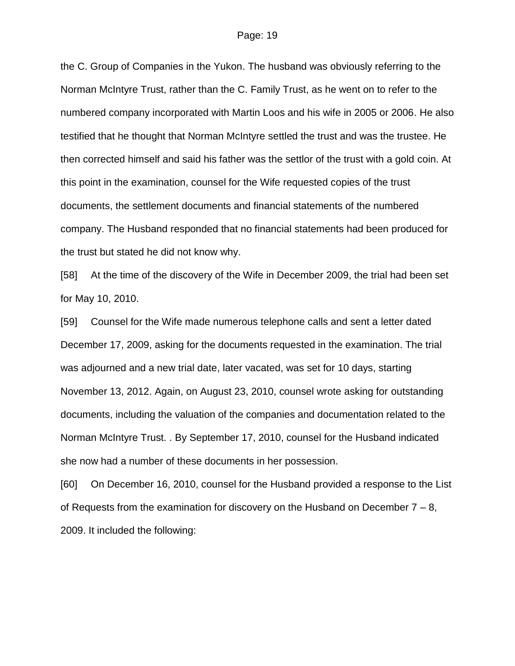the C. Group of Companies in the Yukon. The husband was obviously referring to the Norman McIntyre Trust, rather than the C. Family Trust, as he went on to refer to the numbered company incorporated with Martin Loos and his wife in 2005 or 2006. He also testified that he thought that Norman McIntyre settled the trust and was the trustee. He then corrected himself and said his father was the settlor of the trust with a gold coin. At this point in the examination, counsel for the Wife requested copies of the trust documents, the settlement documents and financial statements of the numbered company. The Husband responded that no financial statements had been produced for the trust but stated he did not know why.

[58] At the time of the discovery of the Wife in December 2009, the trial had been set for May 10, 2010.

[59] Counsel for the Wife made numerous telephone calls and sent a letter dated December 17, 2009, asking for the documents requested in the examination. The trial was adjourned and a new trial date, later vacated, was set for 10 days, starting November 13, 2012. Again, on August 23, 2010, counsel wrote asking for outstanding documents, including the valuation of the companies and documentation related to the Norman McIntyre Trust. . By September 17, 2010, counsel for the Husband indicated she now had a number of these documents in her possession.

[60] On December 16, 2010, counsel for the Husband provided a response to the List of Requests from the examination for discovery on the Husband on December 7 – 8, 2009. It included the following: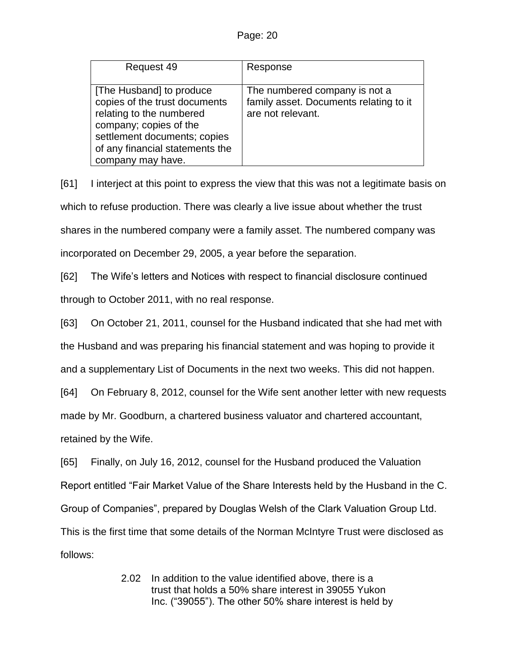| Request 49                                                                                                                                                                                              | Response                                                                                     |
|---------------------------------------------------------------------------------------------------------------------------------------------------------------------------------------------------------|----------------------------------------------------------------------------------------------|
| [The Husband] to produce<br>copies of the trust documents<br>relating to the numbered<br>company; copies of the<br>settlement documents; copies<br>of any financial statements the<br>company may have. | The numbered company is not a<br>family asset. Documents relating to it<br>are not relevant. |

[61] I interject at this point to express the view that this was not a legitimate basis on which to refuse production. There was clearly a live issue about whether the trust shares in the numbered company were a family asset. The numbered company was incorporated on December 29, 2005, a year before the separation.

[62] The Wife's letters and Notices with respect to financial disclosure continued through to October 2011, with no real response.

[63] On October 21, 2011, counsel for the Husband indicated that she had met with the Husband and was preparing his financial statement and was hoping to provide it and a supplementary List of Documents in the next two weeks. This did not happen.

[64] On February 8, 2012, counsel for the Wife sent another letter with new requests made by Mr. Goodburn, a chartered business valuator and chartered accountant,

retained by the Wife.

[65] Finally, on July 16, 2012, counsel for the Husband produced the Valuation Report entitled "Fair Market Value of the Share Interests held by the Husband in the C. Group of Companies", prepared by Douglas Welsh of the Clark Valuation Group Ltd. This is the first time that some details of the Norman McIntyre Trust were disclosed as follows:

> 2.02 In addition to the value identified above, there is a trust that holds a 50% share interest in 39055 Yukon Inc. ("39055"). The other 50% share interest is held by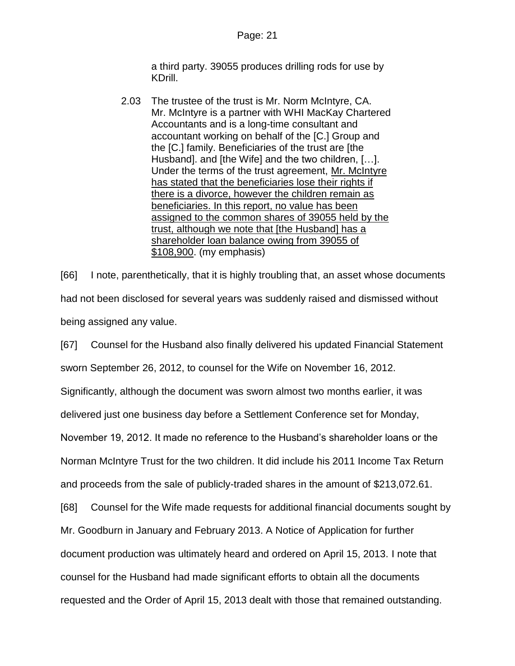a third party. 39055 produces drilling rods for use by KDrill.

2.03 The trustee of the trust is Mr. Norm McIntyre, CA. Mr. McIntyre is a partner with WHI MacKay Chartered Accountants and is a long-time consultant and accountant working on behalf of the [C.] Group and the [C.] family. Beneficiaries of the trust are [the Husband]. and [the Wife] and the two children, […]. Under the terms of the trust agreement, Mr. McIntyre has stated that the beneficiaries lose their rights if there is a divorce, however the children remain as beneficiaries. In this report, no value has been assigned to the common shares of 39055 held by the trust, although we note that [the Husband] has a shareholder loan balance owing from 39055 of \$108,900. (my emphasis)

[66] I note, parenthetically, that it is highly troubling that, an asset whose documents had not been disclosed for several years was suddenly raised and dismissed without being assigned any value.

[67] Counsel for the Husband also finally delivered his updated Financial Statement sworn September 26, 2012, to counsel for the Wife on November 16, 2012. Significantly, although the document was sworn almost two months earlier, it was delivered just one business day before a Settlement Conference set for Monday, November 19, 2012. It made no reference to the Husband's shareholder loans or the Norman McIntyre Trust for the two children. It did include his 2011 Income Tax Return and proceeds from the sale of publicly-traded shares in the amount of \$213,072.61. [68] Counsel for the Wife made requests for additional financial documents sought by Mr. Goodburn in January and February 2013. A Notice of Application for further document production was ultimately heard and ordered on April 15, 2013. I note that counsel for the Husband had made significant efforts to obtain all the documents requested and the Order of April 15, 2013 dealt with those that remained outstanding.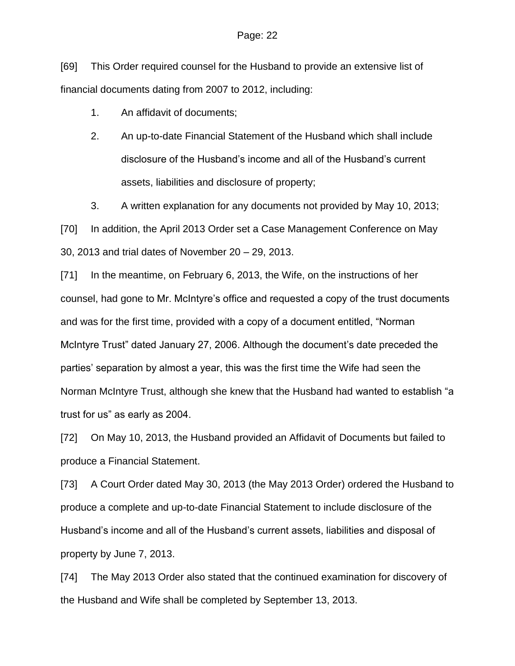[69] This Order required counsel for the Husband to provide an extensive list of financial documents dating from 2007 to 2012, including:

- 1. An affidavit of documents;
- 2. An up-to-date Financial Statement of the Husband which shall include disclosure of the Husband's income and all of the Husband's current assets, liabilities and disclosure of property;

3. A written explanation for any documents not provided by May 10, 2013; [70] In addition, the April 2013 Order set a Case Management Conference on May 30, 2013 and trial dates of November 20 – 29, 2013.

[71] In the meantime, on February 6, 2013, the Wife, on the instructions of her counsel, had gone to Mr. McIntyre's office and requested a copy of the trust documents and was for the first time, provided with a copy of a document entitled, "Norman McIntyre Trust" dated January 27, 2006. Although the document's date preceded the parties' separation by almost a year, this was the first time the Wife had seen the Norman McIntyre Trust, although she knew that the Husband had wanted to establish "a trust for us" as early as 2004.

[72] On May 10, 2013, the Husband provided an Affidavit of Documents but failed to produce a Financial Statement.

[73] A Court Order dated May 30, 2013 (the May 2013 Order) ordered the Husband to produce a complete and up-to-date Financial Statement to include disclosure of the Husband's income and all of the Husband's current assets, liabilities and disposal of property by June 7, 2013.

[74] The May 2013 Order also stated that the continued examination for discovery of the Husband and Wife shall be completed by September 13, 2013.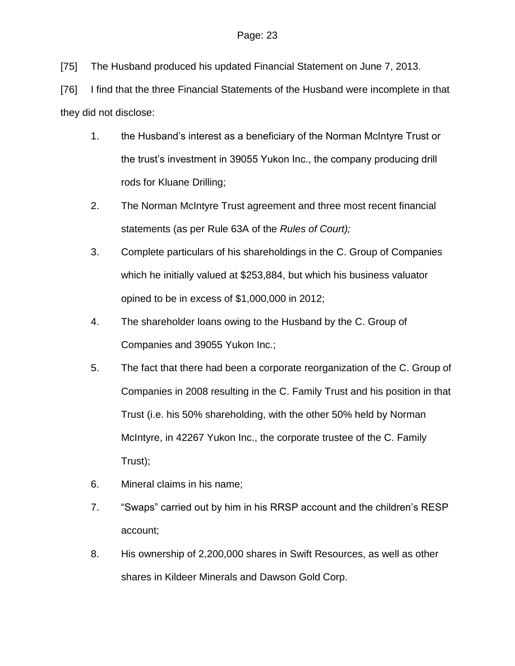[75] The Husband produced his updated Financial Statement on June 7, 2013.

[76] I find that the three Financial Statements of the Husband were incomplete in that they did not disclose:

- 1. the Husband's interest as a beneficiary of the Norman McIntyre Trust or the trust's investment in 39055 Yukon Inc., the company producing drill rods for Kluane Drilling;
- 2. The Norman McIntyre Trust agreement and three most recent financial statements (as per Rule 63A of the *Rules of Court);*
- 3. Complete particulars of his shareholdings in the C. Group of Companies which he initially valued at \$253,884, but which his business valuator opined to be in excess of \$1,000,000 in 2012;
- 4. The shareholder loans owing to the Husband by the C. Group of Companies and 39055 Yukon Inc.;
- 5. The fact that there had been a corporate reorganization of the C. Group of Companies in 2008 resulting in the C. Family Trust and his position in that Trust (i.e. his 50% shareholding, with the other 50% held by Norman McIntyre, in 42267 Yukon Inc., the corporate trustee of the C. Family Trust);
- 6. Mineral claims in his name;
- 7. "Swaps" carried out by him in his RRSP account and the children's RESP account;
- 8. His ownership of 2,200,000 shares in Swift Resources, as well as other shares in Kildeer Minerals and Dawson Gold Corp.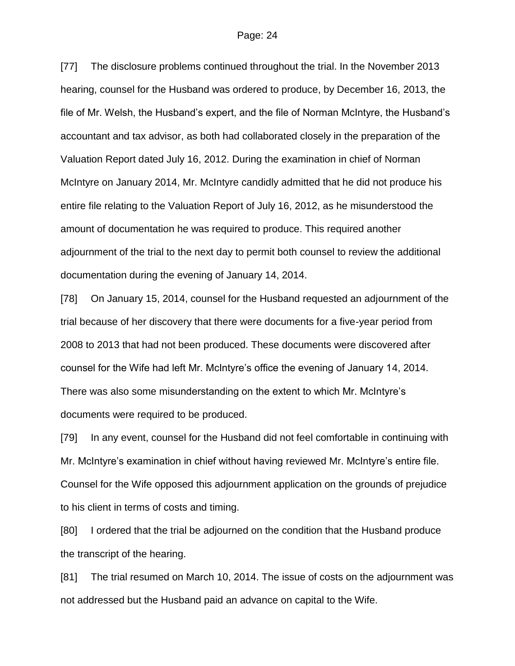[77] The disclosure problems continued throughout the trial. In the November 2013 hearing, counsel for the Husband was ordered to produce, by December 16, 2013, the file of Mr. Welsh, the Husband's expert, and the file of Norman McIntyre, the Husband's accountant and tax advisor, as both had collaborated closely in the preparation of the Valuation Report dated July 16, 2012. During the examination in chief of Norman McIntyre on January 2014, Mr. McIntyre candidly admitted that he did not produce his entire file relating to the Valuation Report of July 16, 2012, as he misunderstood the amount of documentation he was required to produce. This required another adjournment of the trial to the next day to permit both counsel to review the additional documentation during the evening of January 14, 2014.

[78] On January 15, 2014, counsel for the Husband requested an adjournment of the trial because of her discovery that there were documents for a five-year period from 2008 to 2013 that had not been produced. These documents were discovered after counsel for the Wife had left Mr. McIntyre's office the evening of January 14, 2014. There was also some misunderstanding on the extent to which Mr. McIntyre's documents were required to be produced.

[79] In any event, counsel for the Husband did not feel comfortable in continuing with Mr. McIntyre's examination in chief without having reviewed Mr. McIntyre's entire file. Counsel for the Wife opposed this adjournment application on the grounds of prejudice to his client in terms of costs and timing.

[80] I ordered that the trial be adjourned on the condition that the Husband produce the transcript of the hearing.

[81] The trial resumed on March 10, 2014. The issue of costs on the adjournment was not addressed but the Husband paid an advance on capital to the Wife.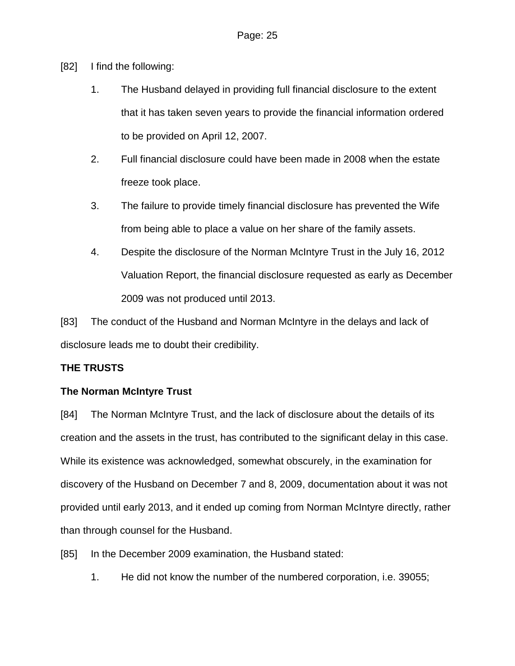- [82] I find the following:
	- 1. The Husband delayed in providing full financial disclosure to the extent that it has taken seven years to provide the financial information ordered to be provided on April 12, 2007.
	- 2. Full financial disclosure could have been made in 2008 when the estate freeze took place.
	- 3. The failure to provide timely financial disclosure has prevented the Wife from being able to place a value on her share of the family assets.
	- 4. Despite the disclosure of the Norman McIntyre Trust in the July 16, 2012 Valuation Report, the financial disclosure requested as early as December 2009 was not produced until 2013.

[83] The conduct of the Husband and Norman McIntyre in the delays and lack of disclosure leads me to doubt their credibility.

## **THE TRUSTS**

## **The Norman McIntyre Trust**

[84] The Norman McIntyre Trust, and the lack of disclosure about the details of its creation and the assets in the trust, has contributed to the significant delay in this case. While its existence was acknowledged, somewhat obscurely, in the examination for discovery of the Husband on December 7 and 8, 2009, documentation about it was not provided until early 2013, and it ended up coming from Norman McIntyre directly, rather than through counsel for the Husband.

- [85] In the December 2009 examination, the Husband stated:
	- 1. He did not know the number of the numbered corporation, i.e. 39055;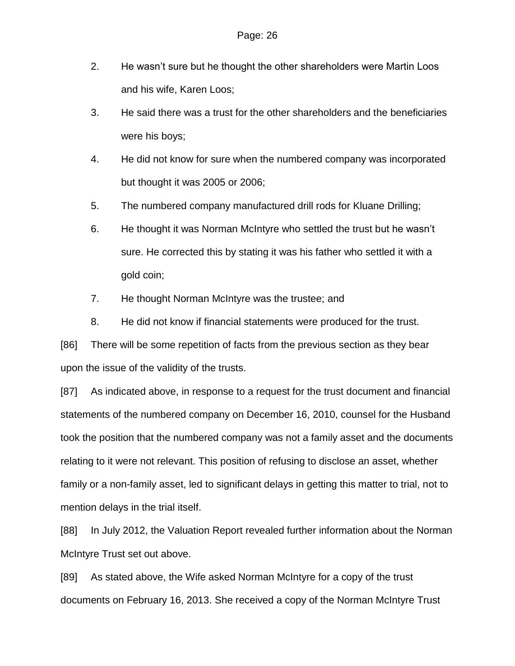- 2. He wasn't sure but he thought the other shareholders were Martin Loos and his wife, Karen Loos;
- 3. He said there was a trust for the other shareholders and the beneficiaries were his boys;
- 4. He did not know for sure when the numbered company was incorporated but thought it was 2005 or 2006;
- 5. The numbered company manufactured drill rods for Kluane Drilling;
- 6. He thought it was Norman McIntyre who settled the trust but he wasn't sure. He corrected this by stating it was his father who settled it with a gold coin;
- 7. He thought Norman McIntyre was the trustee; and
- 8. He did not know if financial statements were produced for the trust.

[86] There will be some repetition of facts from the previous section as they bear upon the issue of the validity of the trusts.

[87] As indicated above, in response to a request for the trust document and financial statements of the numbered company on December 16, 2010, counsel for the Husband took the position that the numbered company was not a family asset and the documents relating to it were not relevant. This position of refusing to disclose an asset, whether family or a non-family asset, led to significant delays in getting this matter to trial, not to mention delays in the trial itself.

[88] In July 2012, the Valuation Report revealed further information about the Norman McIntyre Trust set out above.

[89] As stated above, the Wife asked Norman McIntyre for a copy of the trust documents on February 16, 2013. She received a copy of the Norman McIntyre Trust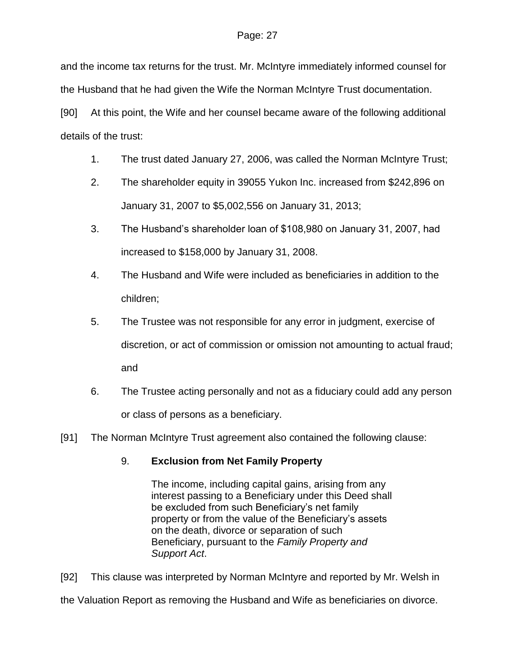and the income tax returns for the trust. Mr. McIntyre immediately informed counsel for the Husband that he had given the Wife the Norman McIntyre Trust documentation.

[90] At this point, the Wife and her counsel became aware of the following additional details of the trust:

- 1. The trust dated January 27, 2006, was called the Norman McIntyre Trust;
- 2. The shareholder equity in 39055 Yukon Inc. increased from \$242,896 on January 31, 2007 to \$5,002,556 on January 31, 2013;
- 3. The Husband's shareholder loan of \$108,980 on January 31, 2007, had increased to \$158,000 by January 31, 2008.
- 4. The Husband and Wife were included as beneficiaries in addition to the children;
- 5. The Trustee was not responsible for any error in judgment, exercise of discretion, or act of commission or omission not amounting to actual fraud; and
- 6. The Trustee acting personally and not as a fiduciary could add any person or class of persons as a beneficiary.
- [91] The Norman McIntyre Trust agreement also contained the following clause:

# 9. **Exclusion from Net Family Property**

The income, including capital gains, arising from any interest passing to a Beneficiary under this Deed shall be excluded from such Beneficiary's net family property or from the value of the Beneficiary's assets on the death, divorce or separation of such Beneficiary, pursuant to the *Family Property and Support Act*.

[92] This clause was interpreted by Norman McIntyre and reported by Mr. Welsh in

the Valuation Report as removing the Husband and Wife as beneficiaries on divorce.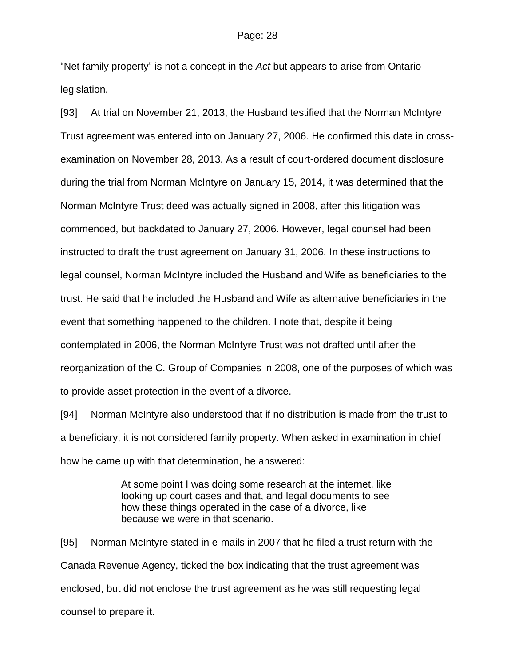"Net family property" is not a concept in the *Act* but appears to arise from Ontario legislation.

[93] At trial on November 21, 2013, the Husband testified that the Norman McIntyre Trust agreement was entered into on January 27, 2006. He confirmed this date in crossexamination on November 28, 2013. As a result of court-ordered document disclosure during the trial from Norman McIntyre on January 15, 2014, it was determined that the Norman McIntyre Trust deed was actually signed in 2008, after this litigation was commenced, but backdated to January 27, 2006. However, legal counsel had been instructed to draft the trust agreement on January 31, 2006. In these instructions to legal counsel, Norman McIntyre included the Husband and Wife as beneficiaries to the trust. He said that he included the Husband and Wife as alternative beneficiaries in the event that something happened to the children. I note that, despite it being contemplated in 2006, the Norman McIntyre Trust was not drafted until after the reorganization of the C. Group of Companies in 2008, one of the purposes of which was to provide asset protection in the event of a divorce.

[94] Norman McIntyre also understood that if no distribution is made from the trust to a beneficiary, it is not considered family property. When asked in examination in chief how he came up with that determination, he answered:

> At some point I was doing some research at the internet, like looking up court cases and that, and legal documents to see how these things operated in the case of a divorce, like because we were in that scenario.

[95] Norman McIntyre stated in e-mails in 2007 that he filed a trust return with the Canada Revenue Agency, ticked the box indicating that the trust agreement was enclosed, but did not enclose the trust agreement as he was still requesting legal counsel to prepare it.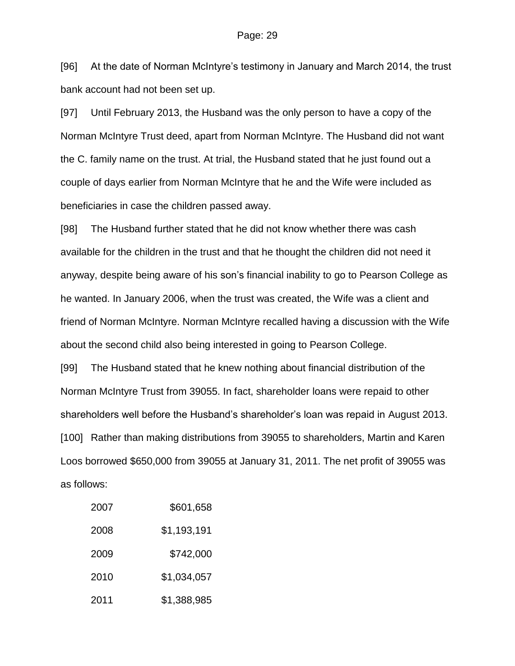[96] At the date of Norman McIntyre's testimony in January and March 2014, the trust bank account had not been set up.

[97] Until February 2013, the Husband was the only person to have a copy of the Norman McIntyre Trust deed, apart from Norman McIntyre. The Husband did not want the C. family name on the trust. At trial, the Husband stated that he just found out a couple of days earlier from Norman McIntyre that he and the Wife were included as beneficiaries in case the children passed away.

[98] The Husband further stated that he did not know whether there was cash available for the children in the trust and that he thought the children did not need it anyway, despite being aware of his son's financial inability to go to Pearson College as he wanted. In January 2006, when the trust was created, the Wife was a client and friend of Norman McIntyre. Norman McIntyre recalled having a discussion with the Wife about the second child also being interested in going to Pearson College.

[99] The Husband stated that he knew nothing about financial distribution of the Norman McIntyre Trust from 39055. In fact, shareholder loans were repaid to other shareholders well before the Husband's shareholder's loan was repaid in August 2013. [100] Rather than making distributions from 39055 to shareholders, Martin and Karen Loos borrowed \$650,000 from 39055 at January 31, 2011. The net profit of 39055 was as follows:

| 2007 | \$601,658   |
|------|-------------|
| 2008 | \$1,193,191 |
| 2009 | \$742,000   |
| 2010 | \$1,034,057 |
| 2011 | \$1,388,985 |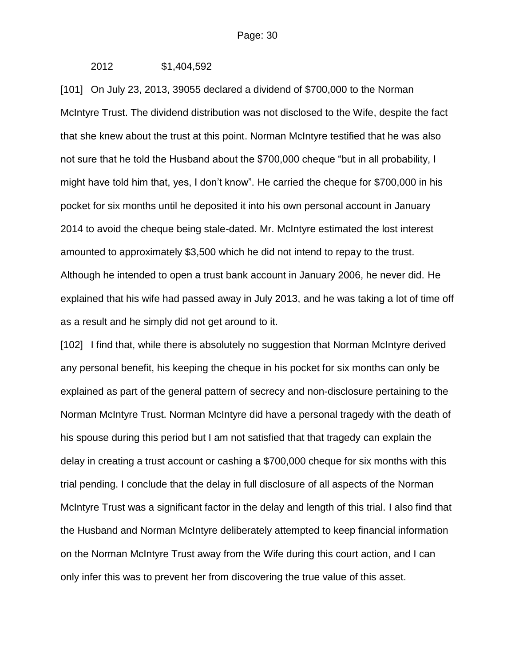2012 \$1,404,592

[101] On July 23, 2013, 39055 declared a dividend of \$700,000 to the Norman McIntyre Trust. The dividend distribution was not disclosed to the Wife, despite the fact that she knew about the trust at this point. Norman McIntyre testified that he was also not sure that he told the Husband about the \$700,000 cheque "but in all probability, I might have told him that, yes, I don't know". He carried the cheque for \$700,000 in his pocket for six months until he deposited it into his own personal account in January 2014 to avoid the cheque being stale-dated. Mr. McIntyre estimated the lost interest amounted to approximately \$3,500 which he did not intend to repay to the trust. Although he intended to open a trust bank account in January 2006, he never did. He explained that his wife had passed away in July 2013, and he was taking a lot of time off as a result and he simply did not get around to it.

[102] I find that, while there is absolutely no suggestion that Norman McIntyre derived any personal benefit, his keeping the cheque in his pocket for six months can only be explained as part of the general pattern of secrecy and non-disclosure pertaining to the Norman McIntyre Trust. Norman McIntyre did have a personal tragedy with the death of his spouse during this period but I am not satisfied that that tragedy can explain the delay in creating a trust account or cashing a \$700,000 cheque for six months with this trial pending. I conclude that the delay in full disclosure of all aspects of the Norman McIntyre Trust was a significant factor in the delay and length of this trial. I also find that the Husband and Norman McIntyre deliberately attempted to keep financial information on the Norman McIntyre Trust away from the Wife during this court action, and I can only infer this was to prevent her from discovering the true value of this asset.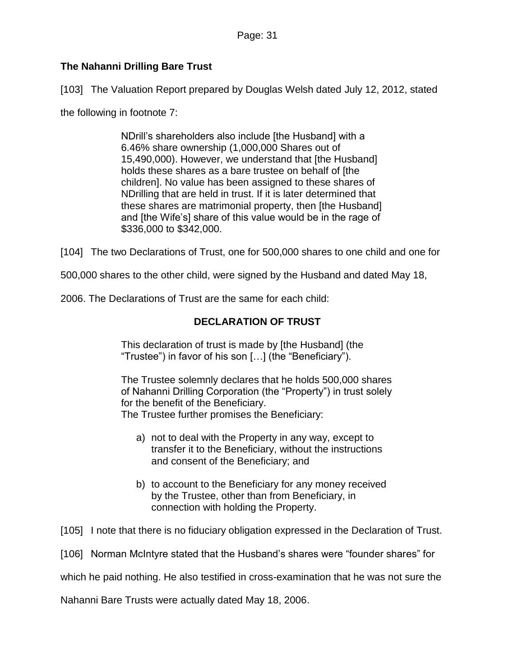## **The Nahanni Drilling Bare Trust**

[103] The Valuation Report prepared by Douglas Welsh dated July 12, 2012, stated

the following in footnote 7:

NDrill's shareholders also include [the Husband] with a 6.46% share ownership (1,000,000 Shares out of 15,490,000). However, we understand that [the Husband] holds these shares as a bare trustee on behalf of [the children]. No value has been assigned to these shares of NDrilling that are held in trust. If it is later determined that these shares are matrimonial property, then [the Husband] and [the Wife's] share of this value would be in the rage of \$336,000 to \$342,000.

[104] The two Declarations of Trust, one for 500,000 shares to one child and one for

500,000 shares to the other child, were signed by the Husband and dated May 18,

2006. The Declarations of Trust are the same for each child:

## **DECLARATION OF TRUST**

This declaration of trust is made by [the Husband] (the "Trustee") in favor of his son […] (the "Beneficiary").

The Trustee solemnly declares that he holds 500,000 shares of Nahanni Drilling Corporation (the "Property") in trust solely for the benefit of the Beneficiary. The Trustee further promises the Beneficiary:

- a) not to deal with the Property in any way, except to transfer it to the Beneficiary, without the instructions and consent of the Beneficiary; and
- b) to account to the Beneficiary for any money received by the Trustee, other than from Beneficiary, in connection with holding the Property.

[105] I note that there is no fiduciary obligation expressed in the Declaration of Trust.

[106] Norman McIntyre stated that the Husband's shares were "founder shares" for

which he paid nothing. He also testified in cross-examination that he was not sure the

Nahanni Bare Trusts were actually dated May 18, 2006.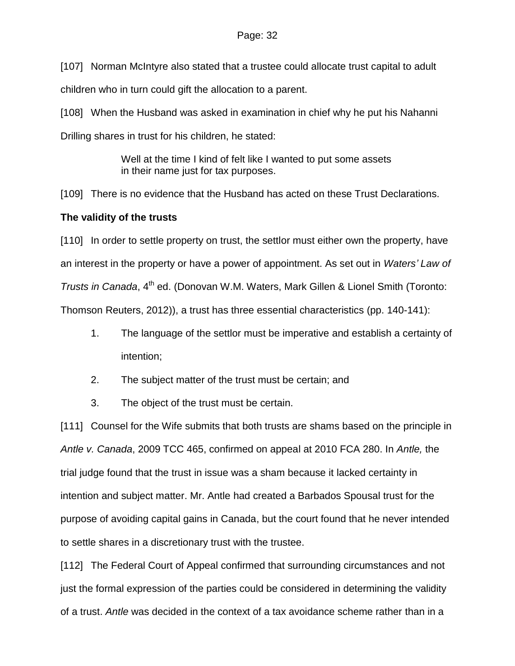[107] Norman McIntyre also stated that a trustee could allocate trust capital to adult children who in turn could gift the allocation to a parent.

[108] When the Husband was asked in examination in chief why he put his Nahanni Drilling shares in trust for his children, he stated:

> Well at the time I kind of felt like I wanted to put some assets in their name just for tax purposes.

[109] There is no evidence that the Husband has acted on these Trust Declarations.

### **The validity of the trusts**

[110] In order to settle property on trust, the settlor must either own the property, have an interest in the property or have a power of appointment. As set out in *Waters' Law of Trusts in Canada*, 4<sup>th</sup> ed. (Donovan W.M. Waters, Mark Gillen & Lionel Smith (Toronto: Thomson Reuters, 2012)), a trust has three essential characteristics (pp. 140-141):

- 1. The language of the settlor must be imperative and establish a certainty of intention;
- 2. The subject matter of the trust must be certain; and
- 3. The object of the trust must be certain.

[111] Counsel for the Wife submits that both trusts are shams based on the principle in *Antle v. Canada*, 2009 TCC 465, confirmed on appeal at 2010 FCA 280. In *Antle,* the trial judge found that the trust in issue was a sham because it lacked certainty in intention and subject matter. Mr. Antle had created a Barbados Spousal trust for the purpose of avoiding capital gains in Canada, but the court found that he never intended to settle shares in a discretionary trust with the trustee.

[112] The Federal Court of Appeal confirmed that surrounding circumstances and not just the formal expression of the parties could be considered in determining the validity of a trust. *Antle* was decided in the context of a tax avoidance scheme rather than in a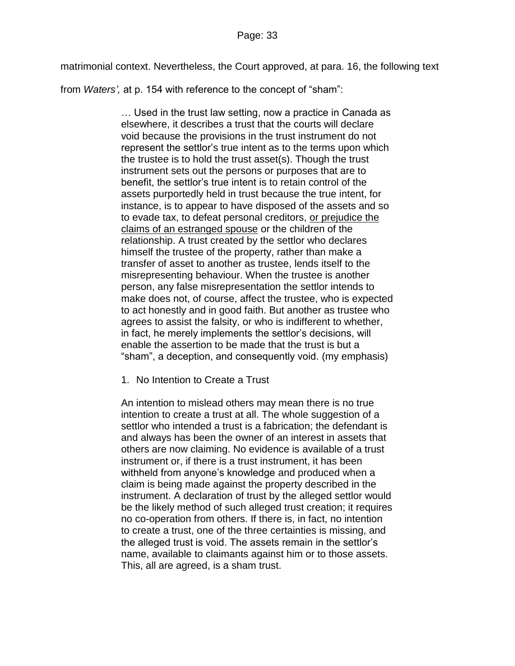matrimonial context. Nevertheless, the Court approved, at para. 16, the following text

from *Waters',* at p. 154 with reference to the concept of "sham":

… Used in the trust law setting, now a practice in Canada as elsewhere, it describes a trust that the courts will declare void because the provisions in the trust instrument do not represent the settlor's true intent as to the terms upon which the trustee is to hold the trust asset(s). Though the trust instrument sets out the persons or purposes that are to benefit, the settlor's true intent is to retain control of the assets purportedly held in trust because the true intent, for instance, is to appear to have disposed of the assets and so to evade tax, to defeat personal creditors, or prejudice the claims of an estranged spouse or the children of the relationship. A trust created by the settlor who declares himself the trustee of the property, rather than make a transfer of asset to another as trustee, lends itself to the misrepresenting behaviour. When the trustee is another person, any false misrepresentation the settlor intends to make does not, of course, affect the trustee, who is expected to act honestly and in good faith. But another as trustee who agrees to assist the falsity, or who is indifferent to whether, in fact, he merely implements the settlor's decisions, will enable the assertion to be made that the trust is but a "sham", a deception, and consequently void. (my emphasis)

1. No Intention to Create a Trust

An intention to mislead others may mean there is no true intention to create a trust at all. The whole suggestion of a settlor who intended a trust is a fabrication; the defendant is and always has been the owner of an interest in assets that others are now claiming. No evidence is available of a trust instrument or, if there is a trust instrument, it has been withheld from anyone's knowledge and produced when a claim is being made against the property described in the instrument. A declaration of trust by the alleged settlor would be the likely method of such alleged trust creation; it requires no co-operation from others. If there is, in fact, no intention to create a trust, one of the three certainties is missing, and the alleged trust is void. The assets remain in the settlor's name, available to claimants against him or to those assets. This, all are agreed, is a sham trust.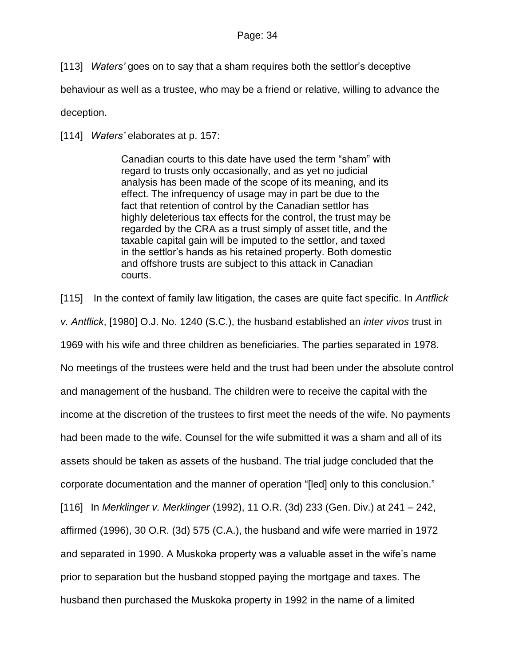[113] *Waters'* goes on to say that a sham requires both the settlor's deceptive

behaviour as well as a trustee, who may be a friend or relative, willing to advance the

deception.

[114] *Waters'* elaborates at p. 157:

Canadian courts to this date have used the term "sham" with regard to trusts only occasionally, and as yet no judicial analysis has been made of the scope of its meaning, and its effect. The infrequency of usage may in part be due to the fact that retention of control by the Canadian settlor has highly deleterious tax effects for the control, the trust may be regarded by the CRA as a trust simply of asset title, and the taxable capital gain will be imputed to the settlor, and taxed in the settlor's hands as his retained property. Both domestic and offshore trusts are subject to this attack in Canadian courts.

[115] In the context of family law litigation, the cases are quite fact specific. In *Antflick v. Antflick*, [1980] O.J. No. 1240 (S.C.), the husband established an *inter vivos* trust in 1969 with his wife and three children as beneficiaries. The parties separated in 1978. No meetings of the trustees were held and the trust had been under the absolute control and management of the husband. The children were to receive the capital with the income at the discretion of the trustees to first meet the needs of the wife. No payments had been made to the wife. Counsel for the wife submitted it was a sham and all of its assets should be taken as assets of the husband. The trial judge concluded that the corporate documentation and the manner of operation "[led] only to this conclusion." [116] In *Merklinger v. Merklinger* (1992), 11 O.R. (3d) 233 (Gen. Div.) at 241 – 242, affirmed (1996), 30 O.R. (3d) 575 (C.A.), the husband and wife were married in 1972 and separated in 1990. A Muskoka property was a valuable asset in the wife's name prior to separation but the husband stopped paying the mortgage and taxes. The husband then purchased the Muskoka property in 1992 in the name of a limited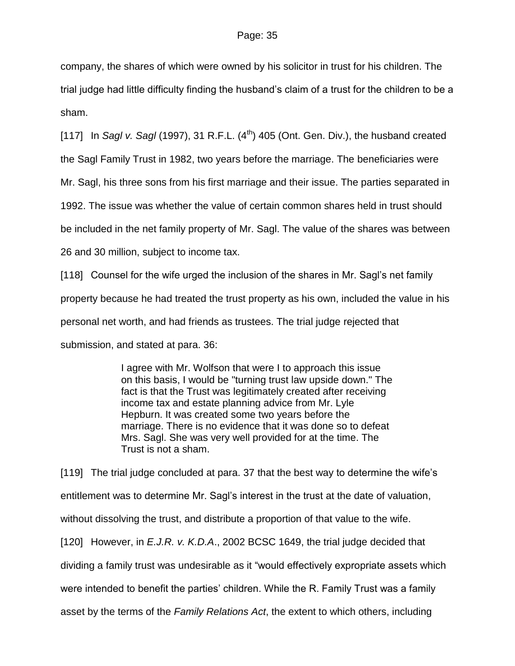company, the shares of which were owned by his solicitor in trust for his children. The trial judge had little difficulty finding the husband's claim of a trust for the children to be a sham.

[117] In *Sagl v. Sagl* (1997), 31 R.F.L.  $(4^{th})$  405 (Ont. Gen. Div.), the husband created

the Sagl Family Trust in 1982, two years before the marriage. The beneficiaries were

Mr. Sagl, his three sons from his first marriage and their issue. The parties separated in

1992. The issue was whether the value of certain common shares held in trust should

be included in the net family property of Mr. Sagl. The value of the shares was between

26 and 30 million, subject to income tax.

[118] Counsel for the wife urged the inclusion of the shares in Mr. Sagl's net family property because he had treated the trust property as his own, included the value in his personal net worth, and had friends as trustees. The trial judge rejected that submission, and stated at para. 36:

> I agree with Mr. Wolfson that were I to approach this issue on this basis, I would be "turning trust law upside down." The fact is that the Trust was legitimately created after receiving income tax and estate planning advice from Mr. Lyle Hepburn. It was created some two years before the marriage. There is no evidence that it was done so to defeat Mrs. Sagl. She was very well provided for at the time. The Trust is not a sham.

[119] The trial judge concluded at para. 37 that the best way to determine the wife's entitlement was to determine Mr. Sagl's interest in the trust at the date of valuation, without dissolving the trust, and distribute a proportion of that value to the wife. [120] However, in *E.J.R. v. K.D.A*., 2002 BCSC 1649, the trial judge decided that dividing a family trust was undesirable as it "would effectively expropriate assets which were intended to benefit the parties' children. While the R. Family Trust was a family asset by the terms of the *Family Relations Act*, the extent to which others, including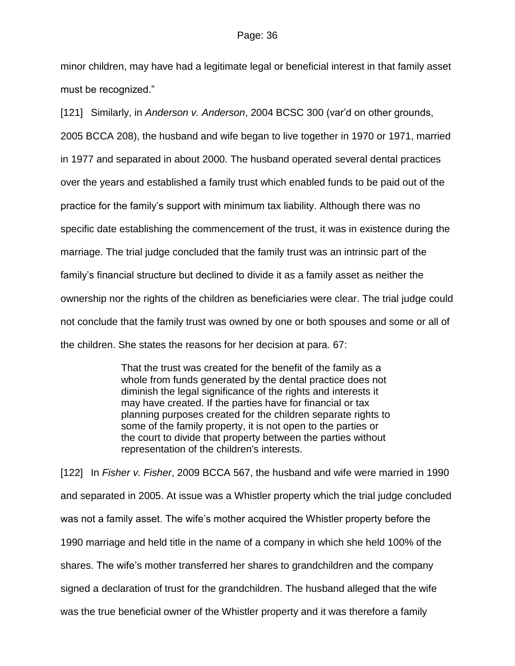minor children, may have had a legitimate legal or beneficial interest in that family asset must be recognized."

[121] Similarly, in *Anderson v. Anderson*, 2004 BCSC 300 (var'd on other grounds,

2005 BCCA 208), the husband and wife began to live together in 1970 or 1971, married

in 1977 and separated in about 2000. The husband operated several dental practices

over the years and established a family trust which enabled funds to be paid out of the

practice for the family's support with minimum tax liability. Although there was no

specific date establishing the commencement of the trust, it was in existence during the

marriage. The trial judge concluded that the family trust was an intrinsic part of the

family's financial structure but declined to divide it as a family asset as neither the

ownership nor the rights of the children as beneficiaries were clear. The trial judge could

not conclude that the family trust was owned by one or both spouses and some or all of

the children. She states the reasons for her decision at para. 67:

That the trust was created for the benefit of the family as a whole from funds generated by the dental practice does not diminish the legal significance of the rights and interests it may have created. If the parties have for financial or tax planning purposes created for the children separate rights to some of the family property, it is not open to the parties or the court to divide that property between the parties without representation of the children's interests.

[122] In *Fisher v. Fisher*, 2009 BCCA 567, the husband and wife were married in 1990 and separated in 2005. At issue was a Whistler property which the trial judge concluded was not a family asset. The wife's mother acquired the Whistler property before the 1990 marriage and held title in the name of a company in which she held 100% of the shares. The wife's mother transferred her shares to grandchildren and the company signed a declaration of trust for the grandchildren. The husband alleged that the wife was the true beneficial owner of the Whistler property and it was therefore a family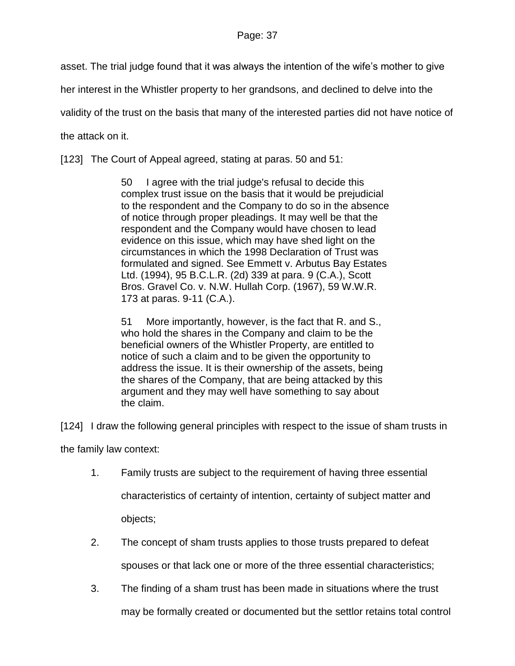asset. The trial judge found that it was always the intention of the wife's mother to give

her interest in the Whistler property to her grandsons, and declined to delve into the

validity of the trust on the basis that many of the interested parties did not have notice of

the attack on it.

[123] The Court of Appeal agreed, stating at paras. 50 and 51:

50 I agree with the trial judge's refusal to decide this complex trust issue on the basis that it would be prejudicial to the respondent and the Company to do so in the absence of notice through proper pleadings. It may well be that the respondent and the Company would have chosen to lead evidence on this issue, which may have shed light on the circumstances in which the 1998 Declaration of Trust was formulated and signed. See Emmett v. Arbutus Bay Estates Ltd. (1994), 95 B.C.L.R. (2d) 339 at para. 9 (C.A.), Scott Bros. Gravel Co. v. N.W. Hullah Corp. (1967), 59 W.W.R. 173 at paras. 9-11 (C.A.).

51 More importantly, however, is the fact that R. and S., who hold the shares in the Company and claim to be the beneficial owners of the Whistler Property, are entitled to notice of such a claim and to be given the opportunity to address the issue. It is their ownership of the assets, being the shares of the Company, that are being attacked by this argument and they may well have something to say about the claim.

[124] I draw the following general principles with respect to the issue of sham trusts in

the family law context:

- 1. Family trusts are subject to the requirement of having three essential characteristics of certainty of intention, certainty of subject matter and objects;
- 2. The concept of sham trusts applies to those trusts prepared to defeat spouses or that lack one or more of the three essential characteristics;
- 3. The finding of a sham trust has been made in situations where the trust may be formally created or documented but the settlor retains total control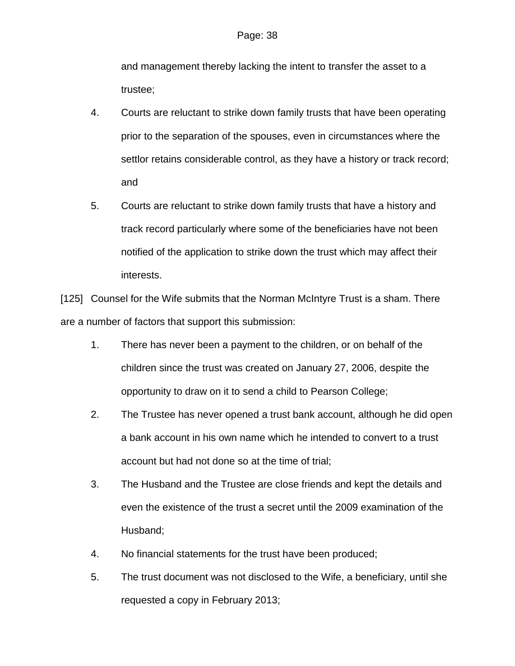and management thereby lacking the intent to transfer the asset to a trustee;

- 4. Courts are reluctant to strike down family trusts that have been operating prior to the separation of the spouses, even in circumstances where the settlor retains considerable control, as they have a history or track record; and
- 5. Courts are reluctant to strike down family trusts that have a history and track record particularly where some of the beneficiaries have not been notified of the application to strike down the trust which may affect their interests.

[125] Counsel for the Wife submits that the Norman McIntyre Trust is a sham. There are a number of factors that support this submission:

- 1. There has never been a payment to the children, or on behalf of the children since the trust was created on January 27, 2006, despite the opportunity to draw on it to send a child to Pearson College;
- 2. The Trustee has never opened a trust bank account, although he did open a bank account in his own name which he intended to convert to a trust account but had not done so at the time of trial;
- 3. The Husband and the Trustee are close friends and kept the details and even the existence of the trust a secret until the 2009 examination of the Husband;
- 4. No financial statements for the trust have been produced;
- 5. The trust document was not disclosed to the Wife, a beneficiary, until she requested a copy in February 2013;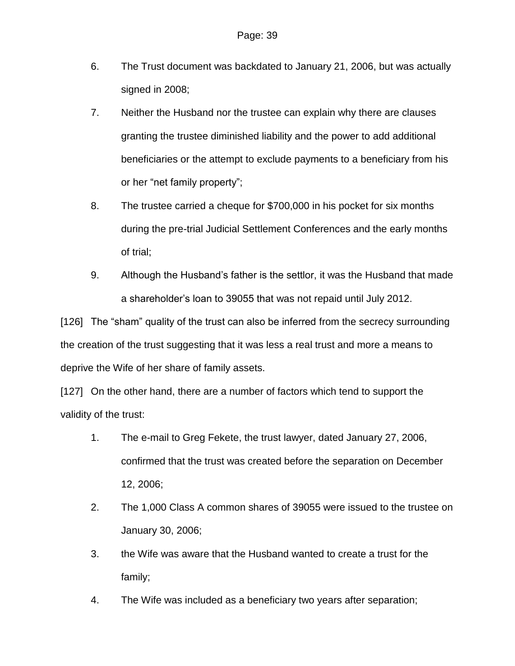- 6. The Trust document was backdated to January 21, 2006, but was actually signed in 2008;
- 7. Neither the Husband nor the trustee can explain why there are clauses granting the trustee diminished liability and the power to add additional beneficiaries or the attempt to exclude payments to a beneficiary from his or her "net family property";
- 8. The trustee carried a cheque for \$700,000 in his pocket for six months during the pre-trial Judicial Settlement Conferences and the early months of trial;
- 9. Although the Husband's father is the settlor, it was the Husband that made a shareholder's loan to 39055 that was not repaid until July 2012.

[126] The "sham" quality of the trust can also be inferred from the secrecy surrounding the creation of the trust suggesting that it was less a real trust and more a means to deprive the Wife of her share of family assets.

[127] On the other hand, there are a number of factors which tend to support the validity of the trust:

- 1. The e-mail to Greg Fekete, the trust lawyer, dated January 27, 2006, confirmed that the trust was created before the separation on December 12, 2006;
- 2. The 1,000 Class A common shares of 39055 were issued to the trustee on January 30, 2006;
- 3. the Wife was aware that the Husband wanted to create a trust for the family;
- 4. The Wife was included as a beneficiary two years after separation;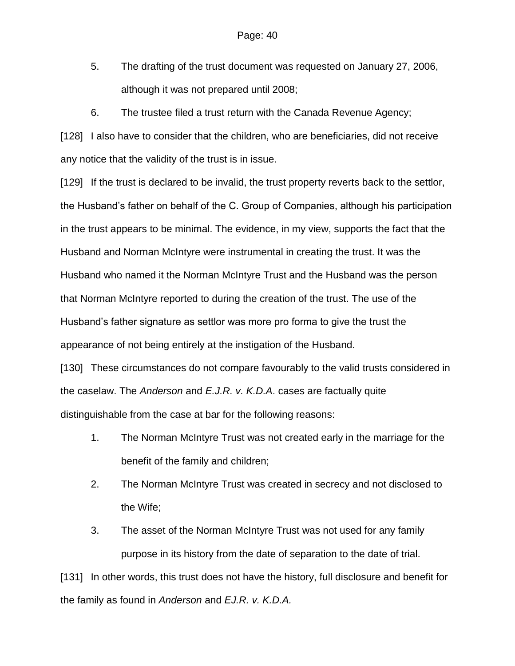- 5. The drafting of the trust document was requested on January 27, 2006, although it was not prepared until 2008;
- 6. The trustee filed a trust return with the Canada Revenue Agency;

[128] I also have to consider that the children, who are beneficiaries, did not receive any notice that the validity of the trust is in issue.

[129] If the trust is declared to be invalid, the trust property reverts back to the settlor, the Husband's father on behalf of the C. Group of Companies, although his participation in the trust appears to be minimal. The evidence, in my view, supports the fact that the Husband and Norman McIntyre were instrumental in creating the trust. It was the Husband who named it the Norman McIntyre Trust and the Husband was the person that Norman McIntyre reported to during the creation of the trust. The use of the Husband's father signature as settlor was more pro forma to give the trust the appearance of not being entirely at the instigation of the Husband.

[130] These circumstances do not compare favourably to the valid trusts considered in the caselaw. The *Anderson* and *E.J.R. v. K.D.A*. cases are factually quite distinguishable from the case at bar for the following reasons:

- 1. The Norman McIntyre Trust was not created early in the marriage for the benefit of the family and children;
- 2. The Norman McIntyre Trust was created in secrecy and not disclosed to the Wife;
- 3. The asset of the Norman McIntyre Trust was not used for any family purpose in its history from the date of separation to the date of trial.

[131] In other words, this trust does not have the history, full disclosure and benefit for the family as found in *Anderson* and *EJ.R. v. K.D.A.*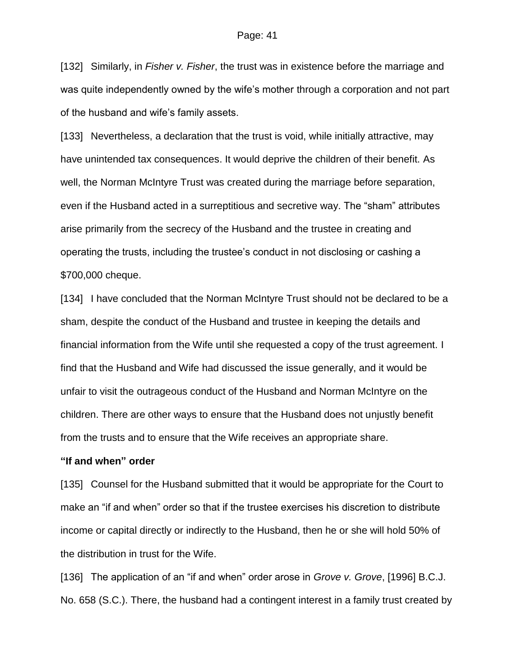[132] Similarly, in *Fisher v. Fisher*, the trust was in existence before the marriage and was quite independently owned by the wife's mother through a corporation and not part of the husband and wife's family assets.

[133] Nevertheless, a declaration that the trust is void, while initially attractive, may have unintended tax consequences. It would deprive the children of their benefit. As well, the Norman McIntyre Trust was created during the marriage before separation, even if the Husband acted in a surreptitious and secretive way. The "sham" attributes arise primarily from the secrecy of the Husband and the trustee in creating and operating the trusts, including the trustee's conduct in not disclosing or cashing a \$700,000 cheque.

[134] I have concluded that the Norman McIntyre Trust should not be declared to be a sham, despite the conduct of the Husband and trustee in keeping the details and financial information from the Wife until she requested a copy of the trust agreement. I find that the Husband and Wife had discussed the issue generally, and it would be unfair to visit the outrageous conduct of the Husband and Norman McIntyre on the children. There are other ways to ensure that the Husband does not unjustly benefit from the trusts and to ensure that the Wife receives an appropriate share.

### **"If and when" order**

[135] Counsel for the Husband submitted that it would be appropriate for the Court to make an "if and when" order so that if the trustee exercises his discretion to distribute income or capital directly or indirectly to the Husband, then he or she will hold 50% of the distribution in trust for the Wife.

[136] The application of an "if and when" order arose in *Grove v. Grove*, [1996] B.C.J. No. 658 (S.C.). There, the husband had a contingent interest in a family trust created by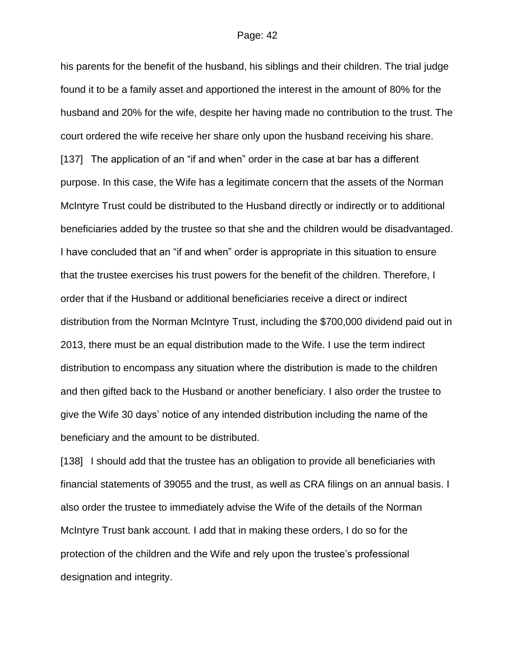his parents for the benefit of the husband, his siblings and their children. The trial judge found it to be a family asset and apportioned the interest in the amount of 80% for the husband and 20% for the wife, despite her having made no contribution to the trust. The court ordered the wife receive her share only upon the husband receiving his share. [137] The application of an "if and when" order in the case at bar has a different purpose. In this case, the Wife has a legitimate concern that the assets of the Norman McIntyre Trust could be distributed to the Husband directly or indirectly or to additional beneficiaries added by the trustee so that she and the children would be disadvantaged. I have concluded that an "if and when" order is appropriate in this situation to ensure that the trustee exercises his trust powers for the benefit of the children. Therefore, I order that if the Husband or additional beneficiaries receive a direct or indirect distribution from the Norman McIntyre Trust, including the \$700,000 dividend paid out in 2013, there must be an equal distribution made to the Wife. I use the term indirect distribution to encompass any situation where the distribution is made to the children and then gifted back to the Husband or another beneficiary. I also order the trustee to give the Wife 30 days' notice of any intended distribution including the name of the beneficiary and the amount to be distributed.

[138] I should add that the trustee has an obligation to provide all beneficiaries with financial statements of 39055 and the trust, as well as CRA filings on an annual basis. I also order the trustee to immediately advise the Wife of the details of the Norman McIntyre Trust bank account. I add that in making these orders, I do so for the protection of the children and the Wife and rely upon the trustee's professional designation and integrity.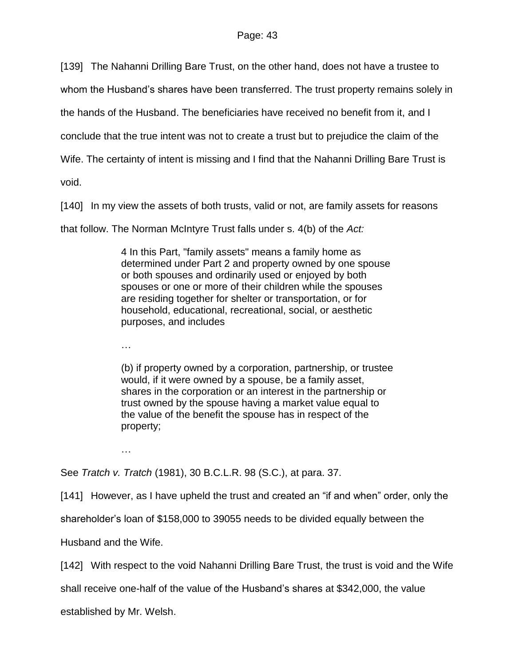[139] The Nahanni Drilling Bare Trust, on the other hand, does not have a trustee to

whom the Husband's shares have been transferred. The trust property remains solely in

the hands of the Husband. The beneficiaries have received no benefit from it, and I

conclude that the true intent was not to create a trust but to prejudice the claim of the

Wife. The certainty of intent is missing and I find that the Nahanni Drilling Bare Trust is

void.

[140] In my view the assets of both trusts, valid or not, are family assets for reasons

that follow. The Norman McIntyre Trust falls under s. 4(b) of the *Act:*

4 In this Part, "family assets" means a family home as determined under Part 2 and property owned by one spouse or both spouses and ordinarily used or enjoyed by both spouses or one or more of their children while the spouses are residing together for shelter or transportation, or for household, educational, recreational, social, or aesthetic purposes, and includes

…

(b) if property owned by a corporation, partnership, or trustee would, if it were owned by a spouse, be a family asset, shares in the corporation or an interest in the partnership or trust owned by the spouse having a market value equal to the value of the benefit the spouse has in respect of the property;

…

See *Tratch v. Tratch* (1981), 30 B.C.L.R. 98 (S.C.), at para. 37.

[141] However, as I have upheld the trust and created an "if and when" order, only the

shareholder's loan of \$158,000 to 39055 needs to be divided equally between the

Husband and the Wife.

[142] With respect to the void Nahanni Drilling Bare Trust, the trust is void and the Wife

shall receive one-half of the value of the Husband's shares at \$342,000, the value

established by Mr. Welsh.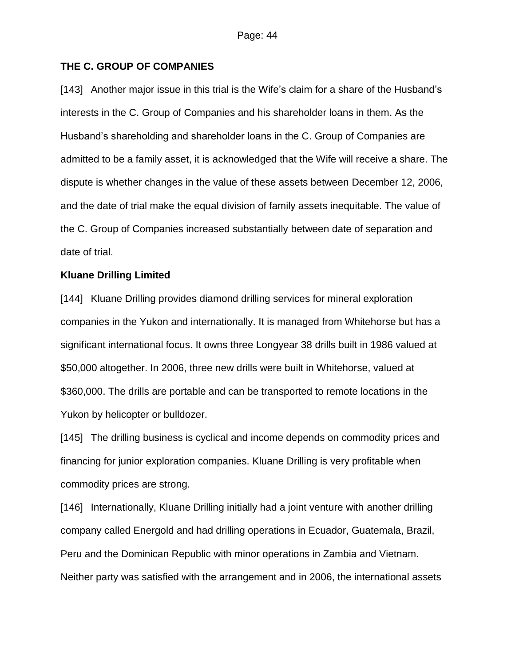## **THE C. GROUP OF COMPANIES**

[143] Another major issue in this trial is the Wife's claim for a share of the Husband's interests in the C. Group of Companies and his shareholder loans in them. As the Husband's shareholding and shareholder loans in the C. Group of Companies are admitted to be a family asset, it is acknowledged that the Wife will receive a share. The dispute is whether changes in the value of these assets between December 12, 2006, and the date of trial make the equal division of family assets inequitable. The value of the C. Group of Companies increased substantially between date of separation and date of trial.

## **Kluane Drilling Limited**

[144] Kluane Drilling provides diamond drilling services for mineral exploration companies in the Yukon and internationally. It is managed from Whitehorse but has a significant international focus. It owns three Longyear 38 drills built in 1986 valued at \$50,000 altogether. In 2006, three new drills were built in Whitehorse, valued at \$360,000. The drills are portable and can be transported to remote locations in the Yukon by helicopter or bulldozer.

[145] The drilling business is cyclical and income depends on commodity prices and financing for junior exploration companies. Kluane Drilling is very profitable when commodity prices are strong.

[146] Internationally, Kluane Drilling initially had a joint venture with another drilling company called Energold and had drilling operations in Ecuador, Guatemala, Brazil, Peru and the Dominican Republic with minor operations in Zambia and Vietnam. Neither party was satisfied with the arrangement and in 2006, the international assets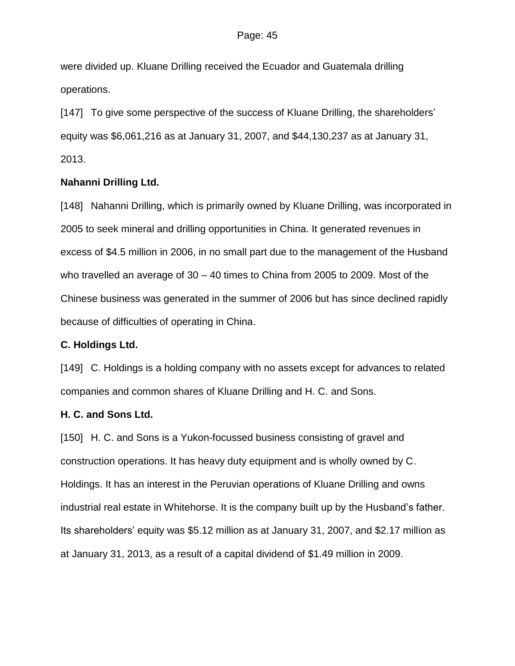were divided up. Kluane Drilling received the Ecuador and Guatemala drilling operations.

[147] To give some perspective of the success of Kluane Drilling, the shareholders' equity was \$6,061,216 as at January 31, 2007, and \$44,130,237 as at January 31, 2013.

### **Nahanni Drilling Ltd.**

[148] Nahanni Drilling, which is primarily owned by Kluane Drilling, was incorporated in 2005 to seek mineral and drilling opportunities in China. It generated revenues in excess of \$4.5 million in 2006, in no small part due to the management of the Husband who travelled an average of 30 – 40 times to China from 2005 to 2009. Most of the Chinese business was generated in the summer of 2006 but has since declined rapidly because of difficulties of operating in China.

## **C. Holdings Ltd.**

[149] C. Holdings is a holding company with no assets except for advances to related companies and common shares of Kluane Drilling and H. C. and Sons.

## **H. C. and Sons Ltd.**

[150] H. C. and Sons is a Yukon-focussed business consisting of gravel and construction operations. It has heavy duty equipment and is wholly owned by C. Holdings. It has an interest in the Peruvian operations of Kluane Drilling and owns industrial real estate in Whitehorse. It is the company built up by the Husband's father. Its shareholders' equity was \$5.12 million as at January 31, 2007, and \$2.17 million as at January 31, 2013, as a result of a capital dividend of \$1.49 million in 2009.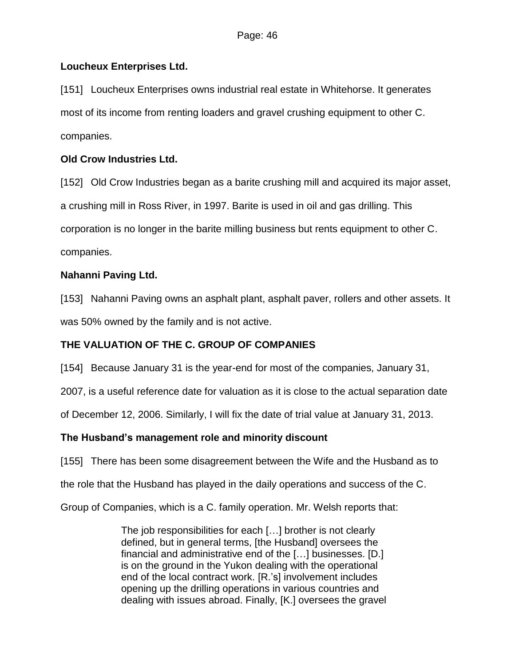# **Loucheux Enterprises Ltd.**

[151] Loucheux Enterprises owns industrial real estate in Whitehorse. It generates most of its income from renting loaders and gravel crushing equipment to other C. companies.

# **Old Crow Industries Ltd.**

[152] Old Crow Industries began as a barite crushing mill and acquired its major asset, a crushing mill in Ross River, in 1997. Barite is used in oil and gas drilling. This corporation is no longer in the barite milling business but rents equipment to other C. companies.

# **Nahanni Paving Ltd.**

[153] Nahanni Paving owns an asphalt plant, asphalt paver, rollers and other assets. It was 50% owned by the family and is not active.

# **THE VALUATION OF THE C. GROUP OF COMPANIES**

[154] Because January 31 is the year-end for most of the companies, January 31,

2007, is a useful reference date for valuation as it is close to the actual separation date

of December 12, 2006. Similarly, I will fix the date of trial value at January 31, 2013.

# **The Husband's management role and minority discount**

[155] There has been some disagreement between the Wife and the Husband as to

the role that the Husband has played in the daily operations and success of the C.

Group of Companies, which is a C. family operation. Mr. Welsh reports that:

The job responsibilities for each […] brother is not clearly defined, but in general terms, [the Husband] oversees the financial and administrative end of the […] businesses. [D.] is on the ground in the Yukon dealing with the operational end of the local contract work. [R.'s] involvement includes opening up the drilling operations in various countries and dealing with issues abroad. Finally, [K.] oversees the gravel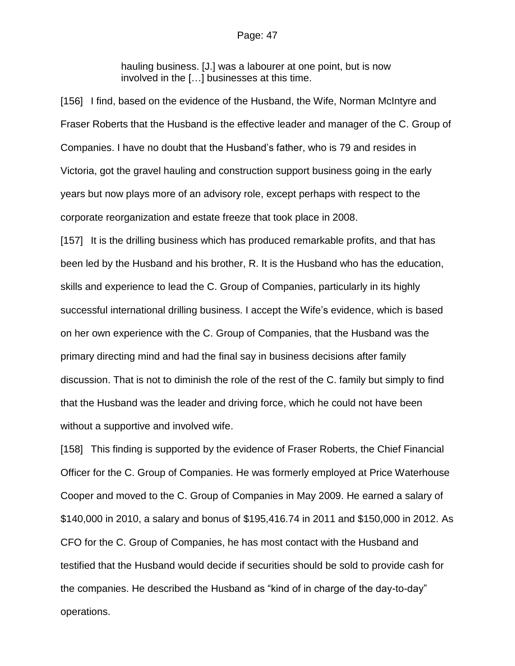hauling business. [J.] was a labourer at one point, but is now involved in the […] businesses at this time.

[156] I find, based on the evidence of the Husband, the Wife, Norman McIntyre and Fraser Roberts that the Husband is the effective leader and manager of the C. Group of Companies. I have no doubt that the Husband's father, who is 79 and resides in Victoria, got the gravel hauling and construction support business going in the early years but now plays more of an advisory role, except perhaps with respect to the corporate reorganization and estate freeze that took place in 2008.

[157] It is the drilling business which has produced remarkable profits, and that has been led by the Husband and his brother, R. It is the Husband who has the education, skills and experience to lead the C. Group of Companies, particularly in its highly successful international drilling business. I accept the Wife's evidence, which is based on her own experience with the C. Group of Companies, that the Husband was the primary directing mind and had the final say in business decisions after family discussion. That is not to diminish the role of the rest of the C. family but simply to find that the Husband was the leader and driving force, which he could not have been without a supportive and involved wife.

[158] This finding is supported by the evidence of Fraser Roberts, the Chief Financial Officer for the C. Group of Companies. He was formerly employed at Price Waterhouse Cooper and moved to the C. Group of Companies in May 2009. He earned a salary of \$140,000 in 2010, a salary and bonus of \$195,416.74 in 2011 and \$150,000 in 2012. As CFO for the C. Group of Companies, he has most contact with the Husband and testified that the Husband would decide if securities should be sold to provide cash for the companies. He described the Husband as "kind of in charge of the day-to-day" operations.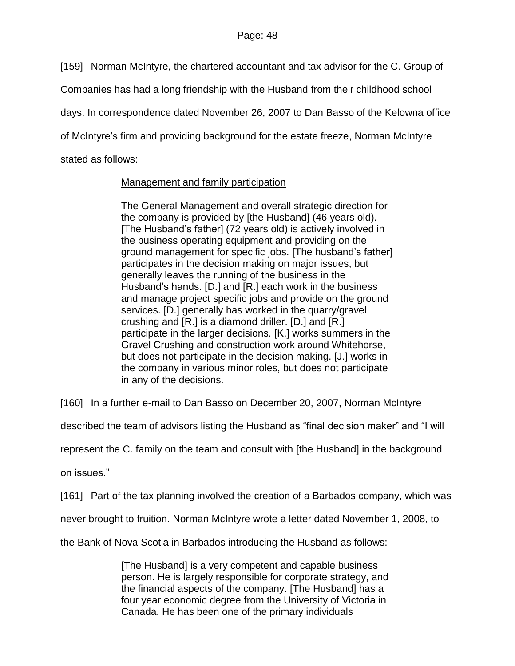[159] Norman McIntyre, the chartered accountant and tax advisor for the C. Group of

Companies has had a long friendship with the Husband from their childhood school

days. In correspondence dated November 26, 2007 to Dan Basso of the Kelowna office

of McIntyre's firm and providing background for the estate freeze, Norman McIntyre

stated as follows:

## Management and family participation

The General Management and overall strategic direction for the company is provided by [the Husband] (46 years old). [The Husband's father] (72 years old) is actively involved in the business operating equipment and providing on the ground management for specific jobs. [The husband's father] participates in the decision making on major issues, but generally leaves the running of the business in the Husband's hands. [D.] and [R.] each work in the business and manage project specific jobs and provide on the ground services. [D.] generally has worked in the quarry/gravel crushing and [R.] is a diamond driller. [D.] and [R.] participate in the larger decisions. [K.] works summers in the Gravel Crushing and construction work around Whitehorse, but does not participate in the decision making. [J.] works in the company in various minor roles, but does not participate in any of the decisions.

[160] In a further e-mail to Dan Basso on December 20, 2007, Norman McIntyre

described the team of advisors listing the Husband as "final decision maker" and "I will

represent the C. family on the team and consult with [the Husband] in the background

on issues."

[161] Part of the tax planning involved the creation of a Barbados company, which was

never brought to fruition. Norman McIntyre wrote a letter dated November 1, 2008, to

the Bank of Nova Scotia in Barbados introducing the Husband as follows:

[The Husband] is a very competent and capable business person. He is largely responsible for corporate strategy, and the financial aspects of the company. [The Husband] has a four year economic degree from the University of Victoria in Canada. He has been one of the primary individuals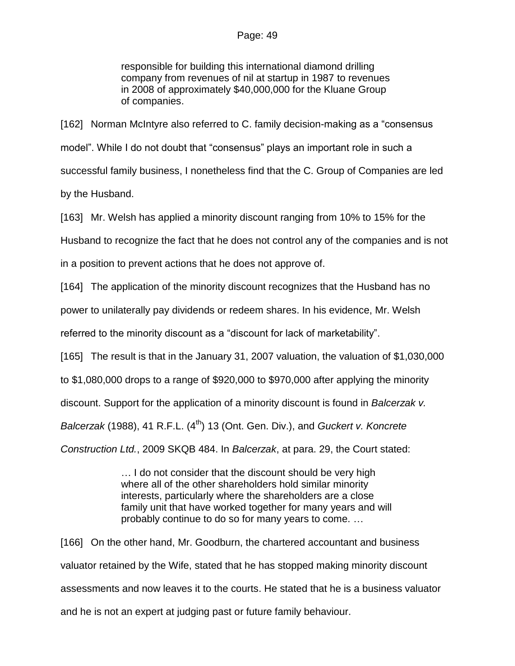responsible for building this international diamond drilling company from revenues of nil at startup in 1987 to revenues in 2008 of approximately \$40,000,000 for the Kluane Group of companies.

[162] Norman McIntyre also referred to C. family decision-making as a "consensus model". While I do not doubt that "consensus" plays an important role in such a successful family business, I nonetheless find that the C. Group of Companies are led by the Husband.

[163] Mr. Welsh has applied a minority discount ranging from 10% to 15% for the

Husband to recognize the fact that he does not control any of the companies and is not

in a position to prevent actions that he does not approve of.

[164] The application of the minority discount recognizes that the Husband has no

power to unilaterally pay dividends or redeem shares. In his evidence, Mr. Welsh

referred to the minority discount as a "discount for lack of marketability".

[165] The result is that in the January 31, 2007 valuation, the valuation of \$1,030,000

to \$1,080,000 drops to a range of \$920,000 to \$970,000 after applying the minority

discount. Support for the application of a minority discount is found in *Balcerzak v.* 

*Balcerzak* (1988), 41 R.F.L. (4<sup>th</sup>) 13 (Ont. Gen. Div.), and *Guckert v. Koncrete* 

*Construction Ltd.*, 2009 SKQB 484. In *Balcerzak*, at para. 29, the Court stated:

… I do not consider that the discount should be very high where all of the other shareholders hold similar minority interests, particularly where the shareholders are a close family unit that have worked together for many years and will probably continue to do so for many years to come. …

[166] On the other hand, Mr. Goodburn, the chartered accountant and business valuator retained by the Wife, stated that he has stopped making minority discount assessments and now leaves it to the courts. He stated that he is a business valuator and he is not an expert at judging past or future family behaviour.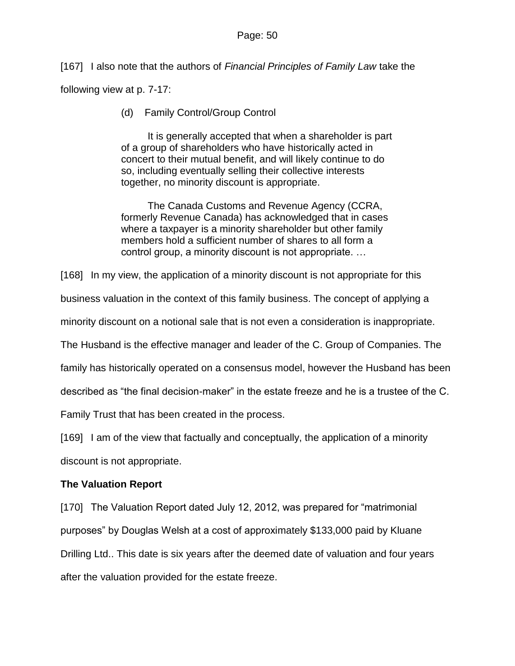[167] I also note that the authors of *Financial Principles of Family Law* take the

following view at p. 7-17:

(d) Family Control/Group Control

It is generally accepted that when a shareholder is part of a group of shareholders who have historically acted in concert to their mutual benefit, and will likely continue to do so, including eventually selling their collective interests together, no minority discount is appropriate.

The Canada Customs and Revenue Agency (CCRA, formerly Revenue Canada) has acknowledged that in cases where a taxpayer is a minority shareholder but other family members hold a sufficient number of shares to all form a control group, a minority discount is not appropriate. …

[168] In my view, the application of a minority discount is not appropriate for this

business valuation in the context of this family business. The concept of applying a

minority discount on a notional sale that is not even a consideration is inappropriate.

The Husband is the effective manager and leader of the C. Group of Companies. The

family has historically operated on a consensus model, however the Husband has been

described as "the final decision-maker" in the estate freeze and he is a trustee of the C.

Family Trust that has been created in the process.

[169] I am of the view that factually and conceptually, the application of a minority

discount is not appropriate.

## **The Valuation Report**

[170] The Valuation Report dated July 12, 2012, was prepared for "matrimonial" purposes" by Douglas Welsh at a cost of approximately \$133,000 paid by Kluane Drilling Ltd.. This date is six years after the deemed date of valuation and four years after the valuation provided for the estate freeze.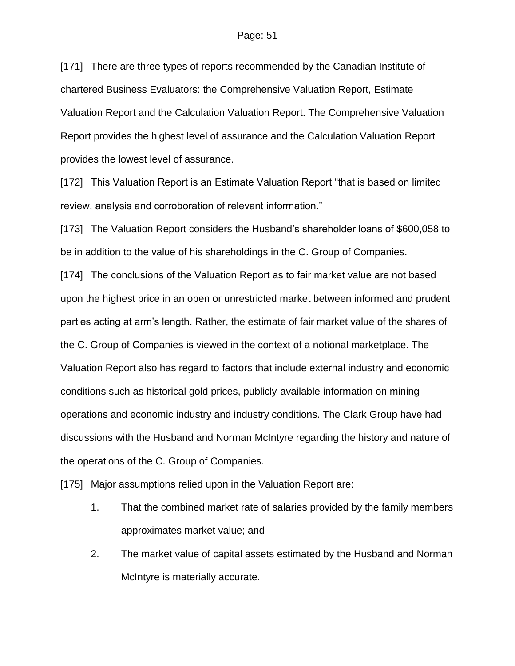[171] There are three types of reports recommended by the Canadian Institute of chartered Business Evaluators: the Comprehensive Valuation Report, Estimate Valuation Report and the Calculation Valuation Report. The Comprehensive Valuation Report provides the highest level of assurance and the Calculation Valuation Report provides the lowest level of assurance.

[172] This Valuation Report is an Estimate Valuation Report "that is based on limited review, analysis and corroboration of relevant information."

[173] The Valuation Report considers the Husband's shareholder loans of \$600,058 to be in addition to the value of his shareholdings in the C. Group of Companies.

[174] The conclusions of the Valuation Report as to fair market value are not based upon the highest price in an open or unrestricted market between informed and prudent parties acting at arm's length. Rather, the estimate of fair market value of the shares of the C. Group of Companies is viewed in the context of a notional marketplace. The Valuation Report also has regard to factors that include external industry and economic conditions such as historical gold prices, publicly-available information on mining operations and economic industry and industry conditions. The Clark Group have had discussions with the Husband and Norman McIntyre regarding the history and nature of the operations of the C. Group of Companies.

[175] Major assumptions relied upon in the Valuation Report are:

- 1. That the combined market rate of salaries provided by the family members approximates market value; and
- 2. The market value of capital assets estimated by the Husband and Norman McIntyre is materially accurate.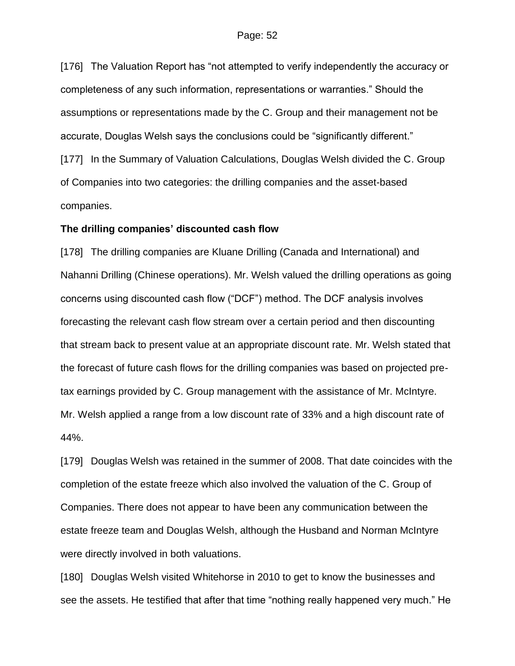[176] The Valuation Report has "not attempted to verify independently the accuracy or completeness of any such information, representations or warranties." Should the assumptions or representations made by the C. Group and their management not be accurate, Douglas Welsh says the conclusions could be "significantly different." [177] In the Summary of Valuation Calculations, Douglas Welsh divided the C. Group of Companies into two categories: the drilling companies and the asset-based companies.

### **The drilling companies' discounted cash flow**

[178] The drilling companies are Kluane Drilling (Canada and International) and Nahanni Drilling (Chinese operations). Mr. Welsh valued the drilling operations as going concerns using discounted cash flow ("DCF") method. The DCF analysis involves forecasting the relevant cash flow stream over a certain period and then discounting that stream back to present value at an appropriate discount rate. Mr. Welsh stated that the forecast of future cash flows for the drilling companies was based on projected pretax earnings provided by C. Group management with the assistance of Mr. McIntyre. Mr. Welsh applied a range from a low discount rate of 33% and a high discount rate of 44%.

[179] Douglas Welsh was retained in the summer of 2008. That date coincides with the completion of the estate freeze which also involved the valuation of the C. Group of Companies. There does not appear to have been any communication between the estate freeze team and Douglas Welsh, although the Husband and Norman McIntyre were directly involved in both valuations.

[180] Douglas Welsh visited Whitehorse in 2010 to get to know the businesses and see the assets. He testified that after that time "nothing really happened very much." He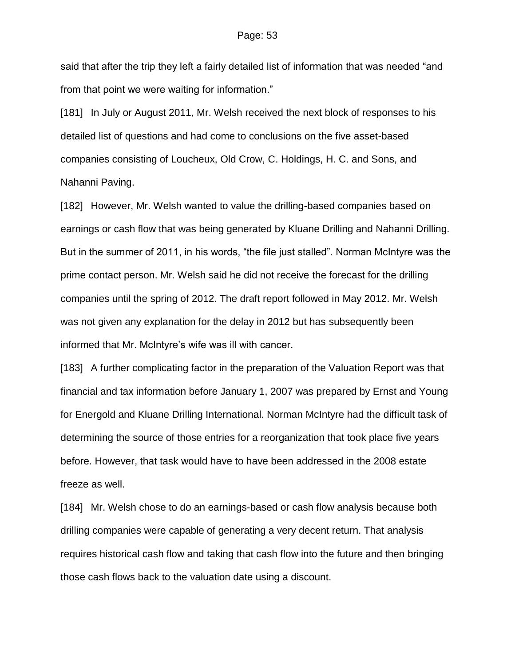said that after the trip they left a fairly detailed list of information that was needed "and from that point we were waiting for information."

[181] In July or August 2011, Mr. Welsh received the next block of responses to his detailed list of questions and had come to conclusions on the five asset-based companies consisting of Loucheux, Old Crow, C. Holdings, H. C. and Sons, and Nahanni Paving.

[182] However, Mr. Welsh wanted to value the drilling-based companies based on earnings or cash flow that was being generated by Kluane Drilling and Nahanni Drilling. But in the summer of 2011, in his words, "the file just stalled". Norman McIntyre was the prime contact person. Mr. Welsh said he did not receive the forecast for the drilling companies until the spring of 2012. The draft report followed in May 2012. Mr. Welsh was not given any explanation for the delay in 2012 but has subsequently been informed that Mr. McIntyre's wife was ill with cancer.

[183] A further complicating factor in the preparation of the Valuation Report was that financial and tax information before January 1, 2007 was prepared by Ernst and Young for Energold and Kluane Drilling International. Norman McIntyre had the difficult task of determining the source of those entries for a reorganization that took place five years before. However, that task would have to have been addressed in the 2008 estate freeze as well.

[184] Mr. Welsh chose to do an earnings-based or cash flow analysis because both drilling companies were capable of generating a very decent return. That analysis requires historical cash flow and taking that cash flow into the future and then bringing those cash flows back to the valuation date using a discount.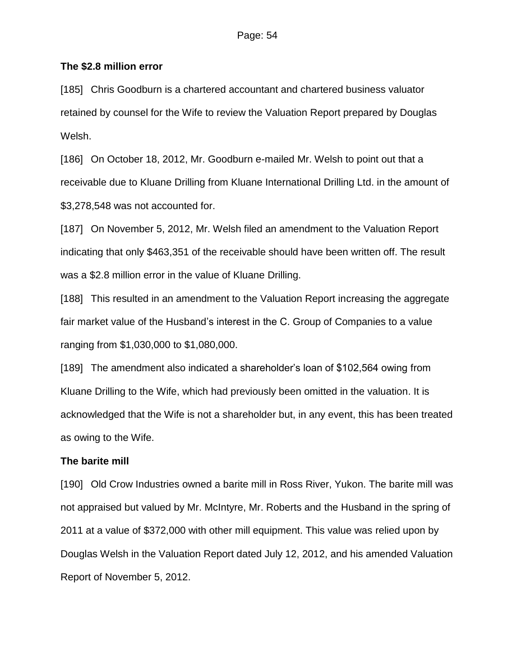## **The \$2.8 million error**

[185] Chris Goodburn is a chartered accountant and chartered business valuator retained by counsel for the Wife to review the Valuation Report prepared by Douglas Welsh.

[186] On October 18, 2012, Mr. Goodburn e-mailed Mr. Welsh to point out that a receivable due to Kluane Drilling from Kluane International Drilling Ltd. in the amount of \$3,278,548 was not accounted for.

[187] On November 5, 2012, Mr. Welsh filed an amendment to the Valuation Report indicating that only \$463,351 of the receivable should have been written off. The result was a \$2.8 million error in the value of Kluane Drilling.

[188] This resulted in an amendment to the Valuation Report increasing the aggregate fair market value of the Husband's interest in the C. Group of Companies to a value ranging from \$1,030,000 to \$1,080,000.

[189] The amendment also indicated a shareholder's loan of \$102,564 owing from Kluane Drilling to the Wife, which had previously been omitted in the valuation. It is acknowledged that the Wife is not a shareholder but, in any event, this has been treated as owing to the Wife.

## **The barite mill**

[190] Old Crow Industries owned a barite mill in Ross River, Yukon. The barite mill was not appraised but valued by Mr. McIntyre, Mr. Roberts and the Husband in the spring of 2011 at a value of \$372,000 with other mill equipment. This value was relied upon by Douglas Welsh in the Valuation Report dated July 12, 2012, and his amended Valuation Report of November 5, 2012.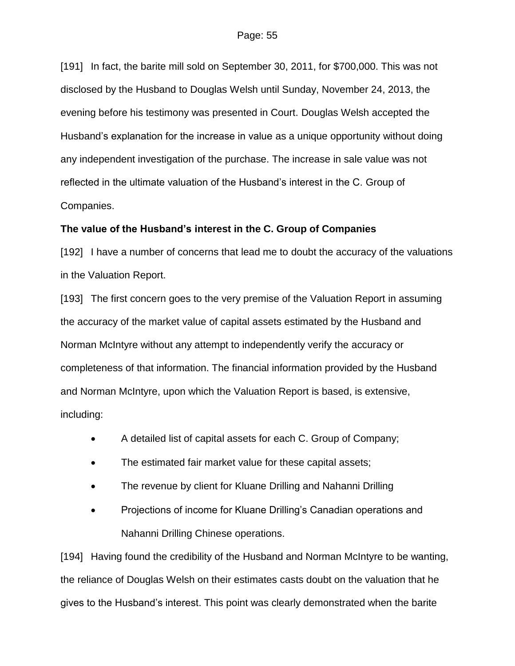[191] In fact, the barite mill sold on September 30, 2011, for \$700,000. This was not disclosed by the Husband to Douglas Welsh until Sunday, November 24, 2013, the evening before his testimony was presented in Court. Douglas Welsh accepted the Husband's explanation for the increase in value as a unique opportunity without doing any independent investigation of the purchase. The increase in sale value was not reflected in the ultimate valuation of the Husband's interest in the C. Group of Companies.

## **The value of the Husband's interest in the C. Group of Companies**

[192] I have a number of concerns that lead me to doubt the accuracy of the valuations in the Valuation Report.

[193] The first concern goes to the very premise of the Valuation Report in assuming the accuracy of the market value of capital assets estimated by the Husband and Norman McIntyre without any attempt to independently verify the accuracy or completeness of that information. The financial information provided by the Husband and Norman McIntyre, upon which the Valuation Report is based, is extensive, including:

- A detailed list of capital assets for each C. Group of Company;
- The estimated fair market value for these capital assets;
- The revenue by client for Kluane Drilling and Nahanni Drilling
- Projections of income for Kluane Drilling's Canadian operations and Nahanni Drilling Chinese operations.

[194] Having found the credibility of the Husband and Norman McIntyre to be wanting, the reliance of Douglas Welsh on their estimates casts doubt on the valuation that he gives to the Husband's interest. This point was clearly demonstrated when the barite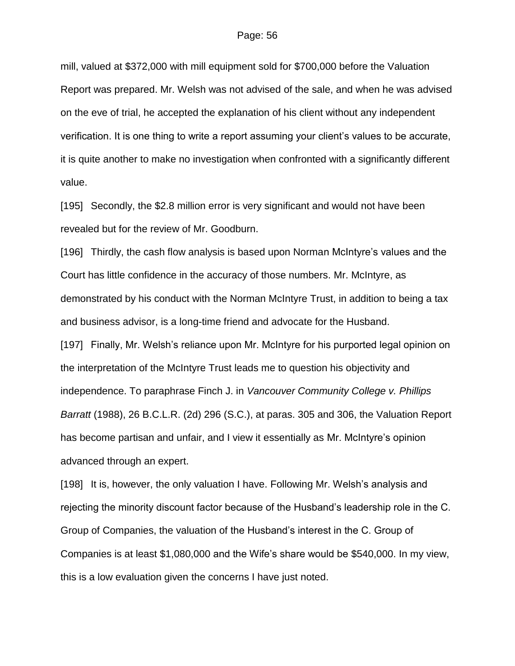mill, valued at \$372,000 with mill equipment sold for \$700,000 before the Valuation Report was prepared. Mr. Welsh was not advised of the sale, and when he was advised on the eve of trial, he accepted the explanation of his client without any independent verification. It is one thing to write a report assuming your client's values to be accurate, it is quite another to make no investigation when confronted with a significantly different value.

[195] Secondly, the \$2.8 million error is very significant and would not have been revealed but for the review of Mr. Goodburn.

[196] Thirdly, the cash flow analysis is based upon Norman McIntyre's values and the Court has little confidence in the accuracy of those numbers. Mr. McIntyre, as demonstrated by his conduct with the Norman McIntyre Trust, in addition to being a tax and business advisor, is a long-time friend and advocate for the Husband. [197] Finally, Mr. Welsh's reliance upon Mr. McIntyre for his purported legal opinion on the interpretation of the McIntyre Trust leads me to question his objectivity and independence. To paraphrase Finch J. in *Vancouver Community College v. Phillips Barratt* (1988), 26 B.C.L.R. (2d) 296 (S.C.), at paras. 305 and 306, the Valuation Report has become partisan and unfair, and I view it essentially as Mr. McIntyre's opinion advanced through an expert.

[198] It is, however, the only valuation I have. Following Mr. Welsh's analysis and rejecting the minority discount factor because of the Husband's leadership role in the C. Group of Companies, the valuation of the Husband's interest in the C. Group of Companies is at least \$1,080,000 and the Wife's share would be \$540,000. In my view, this is a low evaluation given the concerns I have just noted.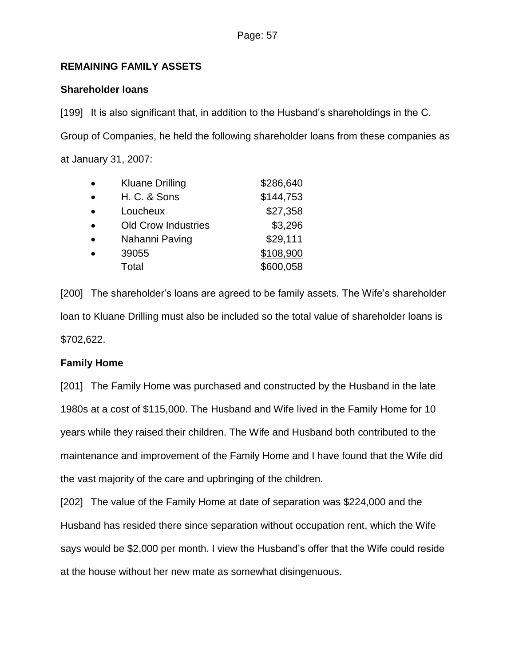## **REMAINING FAMILY ASSETS**

## **Shareholder loans**

[199] It is also significant that, in addition to the Husband's shareholdings in the C. Group of Companies, he held the following shareholder loans from these companies as at January 31, 2007:

| $\bullet$ | <b>Kluane Drilling</b>     | \$286,640 |
|-----------|----------------------------|-----------|
| $\bullet$ | <b>H. C. &amp; Sons</b>    | \$144,753 |
| $\bullet$ | Loucheux                   | \$27,358  |
| $\bullet$ | <b>Old Crow Industries</b> | \$3,296   |
|           | Nahanni Paving             | \$29,111  |
|           | 39055                      | \$108,900 |
|           | Total                      | \$600,058 |

[200] The shareholder's loans are agreed to be family assets. The Wife's shareholder loan to Kluane Drilling must also be included so the total value of shareholder loans is \$702,622.

## **Family Home**

[201] The Family Home was purchased and constructed by the Husband in the late 1980s at a cost of \$115,000. The Husband and Wife lived in the Family Home for 10 years while they raised their children. The Wife and Husband both contributed to the maintenance and improvement of the Family Home and I have found that the Wife did the vast majority of the care and upbringing of the children.

[202] The value of the Family Home at date of separation was \$224,000 and the Husband has resided there since separation without occupation rent, which the Wife says would be \$2,000 per month. I view the Husband's offer that the Wife could reside at the house without her new mate as somewhat disingenuous.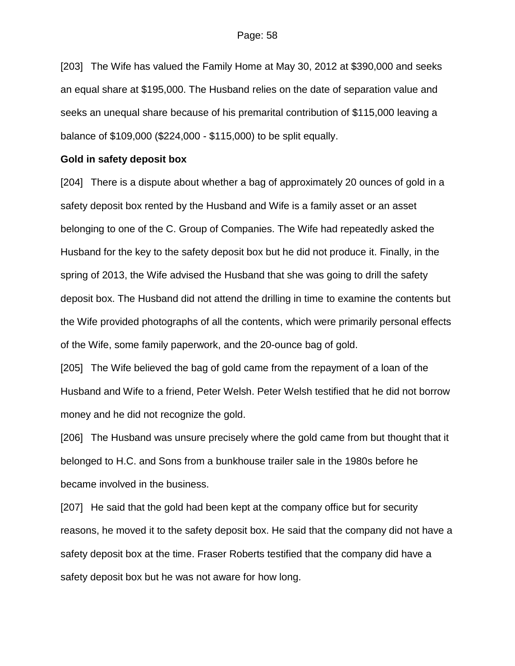[203] The Wife has valued the Family Home at May 30, 2012 at \$390,000 and seeks an equal share at \$195,000. The Husband relies on the date of separation value and seeks an unequal share because of his premarital contribution of \$115,000 leaving a balance of \$109,000 (\$224,000 - \$115,000) to be split equally.

### **Gold in safety deposit box**

[204] There is a dispute about whether a bag of approximately 20 ounces of gold in a safety deposit box rented by the Husband and Wife is a family asset or an asset belonging to one of the C. Group of Companies. The Wife had repeatedly asked the Husband for the key to the safety deposit box but he did not produce it. Finally, in the spring of 2013, the Wife advised the Husband that she was going to drill the safety deposit box. The Husband did not attend the drilling in time to examine the contents but the Wife provided photographs of all the contents, which were primarily personal effects of the Wife, some family paperwork, and the 20-ounce bag of gold.

[205] The Wife believed the bag of gold came from the repayment of a loan of the Husband and Wife to a friend, Peter Welsh. Peter Welsh testified that he did not borrow money and he did not recognize the gold.

[206] The Husband was unsure precisely where the gold came from but thought that it belonged to H.C. and Sons from a bunkhouse trailer sale in the 1980s before he became involved in the business.

[207] He said that the gold had been kept at the company office but for security reasons, he moved it to the safety deposit box. He said that the company did not have a safety deposit box at the time. Fraser Roberts testified that the company did have a safety deposit box but he was not aware for how long.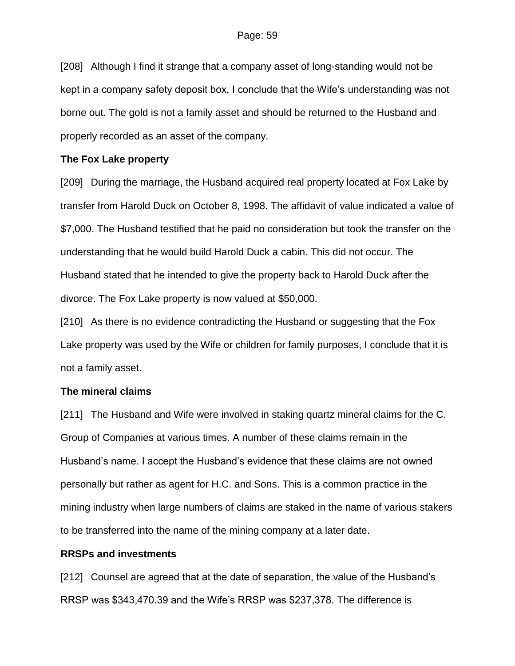[208] Although I find it strange that a company asset of long-standing would not be kept in a company safety deposit box, I conclude that the Wife's understanding was not borne out. The gold is not a family asset and should be returned to the Husband and properly recorded as an asset of the company.

## **The Fox Lake property**

[209] During the marriage, the Husband acquired real property located at Fox Lake by transfer from Harold Duck on October 8, 1998. The affidavit of value indicated a value of \$7,000. The Husband testified that he paid no consideration but took the transfer on the understanding that he would build Harold Duck a cabin. This did not occur. The Husband stated that he intended to give the property back to Harold Duck after the divorce. The Fox Lake property is now valued at \$50,000.

[210] As there is no evidence contradicting the Husband or suggesting that the Fox Lake property was used by the Wife or children for family purposes, I conclude that it is not a family asset.

## **The mineral claims**

[211] The Husband and Wife were involved in staking quartz mineral claims for the C. Group of Companies at various times. A number of these claims remain in the Husband's name. I accept the Husband's evidence that these claims are not owned personally but rather as agent for H.C. and Sons. This is a common practice in the mining industry when large numbers of claims are staked in the name of various stakers to be transferred into the name of the mining company at a later date.

## **RRSPs and investments**

[212] Counsel are agreed that at the date of separation, the value of the Husband's RRSP was \$343,470.39 and the Wife's RRSP was \$237,378. The difference is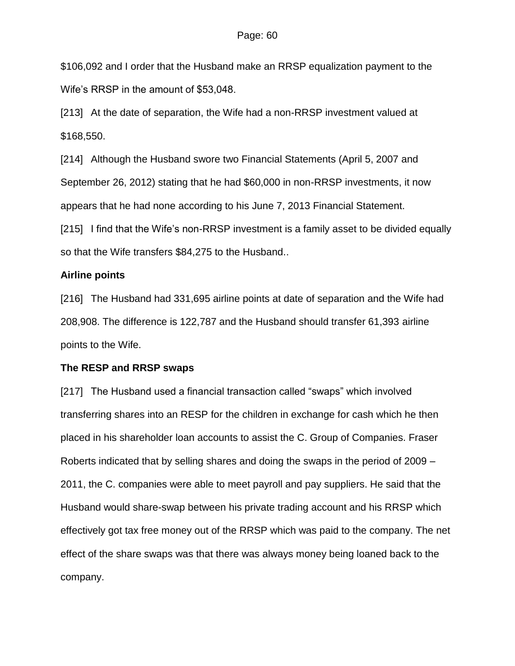\$106,092 and I order that the Husband make an RRSP equalization payment to the Wife's RRSP in the amount of \$53,048.

[213] At the date of separation, the Wife had a non-RRSP investment valued at \$168,550.

[214] Although the Husband swore two Financial Statements (April 5, 2007 and September 26, 2012) stating that he had \$60,000 in non-RRSP investments, it now appears that he had none according to his June 7, 2013 Financial Statement.

[215] I find that the Wife's non-RRSP investment is a family asset to be divided equally so that the Wife transfers \$84,275 to the Husband..

## **Airline points**

[216] The Husband had 331,695 airline points at date of separation and the Wife had 208,908. The difference is 122,787 and the Husband should transfer 61,393 airline points to the Wife.

## **The RESP and RRSP swaps**

[217] The Husband used a financial transaction called "swaps" which involved transferring shares into an RESP for the children in exchange for cash which he then placed in his shareholder loan accounts to assist the C. Group of Companies. Fraser Roberts indicated that by selling shares and doing the swaps in the period of 2009 – 2011, the C. companies were able to meet payroll and pay suppliers. He said that the Husband would share-swap between his private trading account and his RRSP which effectively got tax free money out of the RRSP which was paid to the company. The net effect of the share swaps was that there was always money being loaned back to the company.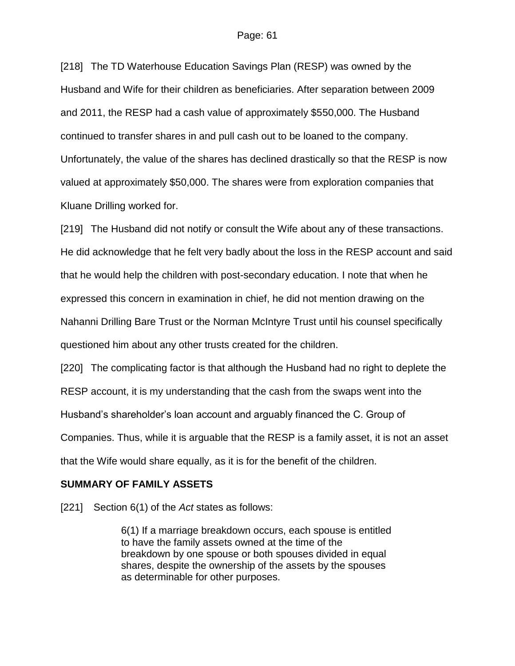[218] The TD Waterhouse Education Savings Plan (RESP) was owned by the Husband and Wife for their children as beneficiaries. After separation between 2009 and 2011, the RESP had a cash value of approximately \$550,000. The Husband continued to transfer shares in and pull cash out to be loaned to the company. Unfortunately, the value of the shares has declined drastically so that the RESP is now valued at approximately \$50,000. The shares were from exploration companies that Kluane Drilling worked for.

[219] The Husband did not notify or consult the Wife about any of these transactions. He did acknowledge that he felt very badly about the loss in the RESP account and said that he would help the children with post-secondary education. I note that when he expressed this concern in examination in chief, he did not mention drawing on the Nahanni Drilling Bare Trust or the Norman McIntyre Trust until his counsel specifically questioned him about any other trusts created for the children.

[220] The complicating factor is that although the Husband had no right to deplete the RESP account, it is my understanding that the cash from the swaps went into the Husband's shareholder's loan account and arguably financed the C. Group of Companies. Thus, while it is arguable that the RESP is a family asset, it is not an asset that the Wife would share equally, as it is for the benefit of the children.

## **SUMMARY OF FAMILY ASSETS**

[221] Section 6(1) of the *Act* states as follows:

6(1) If a marriage breakdown occurs, each spouse is entitled to have the family assets owned at the time of the breakdown by one spouse or both spouses divided in equal shares, despite the ownership of the assets by the spouses as determinable for other purposes.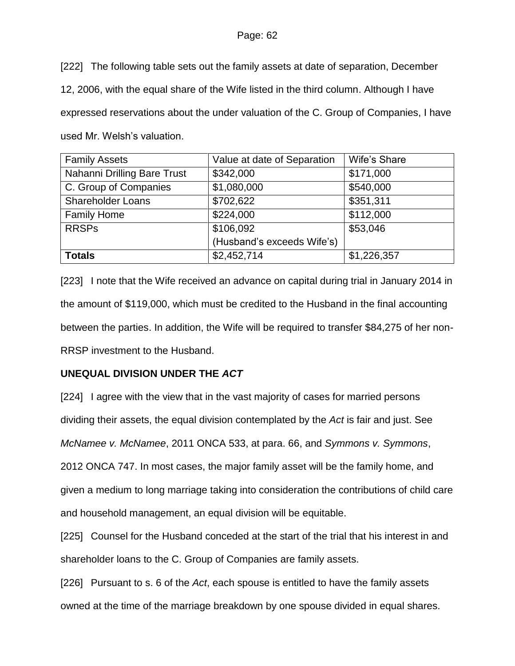[222] The following table sets out the family assets at date of separation, December 12, 2006, with the equal share of the Wife listed in the third column. Although I have expressed reservations about the under valuation of the C. Group of Companies, I have used Mr. Welsh's valuation.

| <b>Family Assets</b>        | Value at date of Separation | Wife's Share |
|-----------------------------|-----------------------------|--------------|
| Nahanni Drilling Bare Trust | \$342,000                   | \$171,000    |
| C. Group of Companies       | \$1,080,000                 | \$540,000    |
| <b>Shareholder Loans</b>    | \$702,622                   | \$351,311    |
| <b>Family Home</b>          | \$224,000                   | \$112,000    |
| <b>RRSPs</b>                | \$106,092                   | \$53,046     |
|                             | (Husband's exceeds Wife's)  |              |
| <b>Totals</b>               | \$2,452,714                 | \$1,226,357  |

[223] I note that the Wife received an advance on capital during trial in January 2014 in the amount of \$119,000, which must be credited to the Husband in the final accounting between the parties. In addition, the Wife will be required to transfer \$84,275 of her non-RRSP investment to the Husband.

# **UNEQUAL DIVISION UNDER THE** *ACT*

[224] I agree with the view that in the vast majority of cases for married persons dividing their assets, the equal division contemplated by the *Act* is fair and just. See *McNamee v. McNamee*, 2011 ONCA 533, at para. 66, and *Symmons v. Symmons*, 2012 ONCA 747. In most cases, the major family asset will be the family home, and given a medium to long marriage taking into consideration the contributions of child care and household management, an equal division will be equitable.

[225] Counsel for the Husband conceded at the start of the trial that his interest in and shareholder loans to the C. Group of Companies are family assets.

[226] Pursuant to s. 6 of the *Act*, each spouse is entitled to have the family assets owned at the time of the marriage breakdown by one spouse divided in equal shares.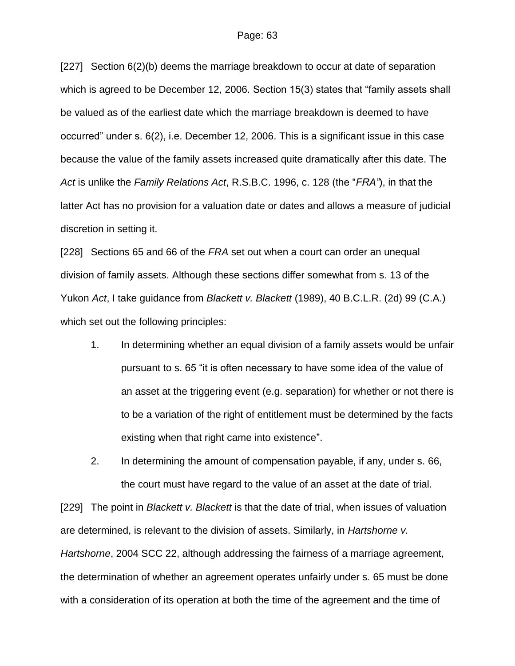[227] Section 6(2)(b) deems the marriage breakdown to occur at date of separation which is agreed to be December 12, 2006. Section 15(3) states that "family assets shall be valued as of the earliest date which the marriage breakdown is deemed to have occurred" under s. 6(2), i.e. December 12, 2006. This is a significant issue in this case because the value of the family assets increased quite dramatically after this date. The *Act* is unlike the *Family Relations Act*, R.S.B.C. 1996, c. 128 (the "*FRA"*), in that the latter Act has no provision for a valuation date or dates and allows a measure of judicial discretion in setting it.

[228] Sections 65 and 66 of the *FRA* set out when a court can order an unequal division of family assets. Although these sections differ somewhat from s. 13 of the Yukon *Act*, I take guidance from *Blackett v. Blackett* (1989), 40 B.C.L.R. (2d) 99 (C.A.) which set out the following principles:

1. In determining whether an equal division of a family assets would be unfair pursuant to s. 65 "it is often necessary to have some idea of the value of an asset at the triggering event (e.g. separation) for whether or not there is to be a variation of the right of entitlement must be determined by the facts existing when that right came into existence".

2. In determining the amount of compensation payable, if any, under s. 66, the court must have regard to the value of an asset at the date of trial.

[229] The point in *Blackett v. Blackett* is that the date of trial, when issues of valuation are determined, is relevant to the division of assets. Similarly, in *Hartshorne v. Hartshorne*, 2004 SCC 22, although addressing the fairness of a marriage agreement, the determination of whether an agreement operates unfairly under s. 65 must be done with a consideration of its operation at both the time of the agreement and the time of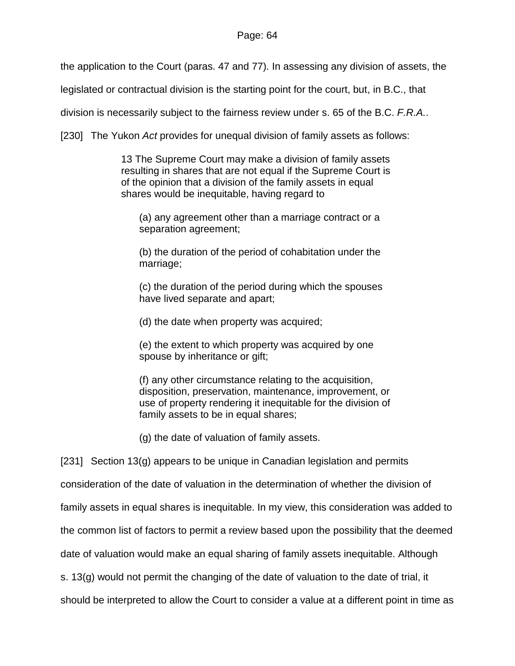the application to the Court (paras. 47 and 77). In assessing any division of assets, the

legislated or contractual division is the starting point for the court, but, in B.C., that

division is necessarily subject to the fairness review under s. 65 of the B.C. *F.R.A.*.

[230] The Yukon *Act* provides for unequal division of family assets as follows:

13 The Supreme Court may make a division of family assets resulting in shares that are not equal if the Supreme Court is of the opinion that a division of the family assets in equal shares would be inequitable, having regard to

(a) any agreement other than a marriage contract or a separation agreement;

(b) the duration of the period of cohabitation under the marriage;

(c) the duration of the period during which the spouses have lived separate and apart;

(d) the date when property was acquired;

(e) the extent to which property was acquired by one spouse by inheritance or gift;

(f) any other circumstance relating to the acquisition, disposition, preservation, maintenance, improvement, or use of property rendering it inequitable for the division of family assets to be in equal shares;

(g) the date of valuation of family assets.

[231] Section 13(g) appears to be unique in Canadian legislation and permits

consideration of the date of valuation in the determination of whether the division of

family assets in equal shares is inequitable. In my view, this consideration was added to

the common list of factors to permit a review based upon the possibility that the deemed

date of valuation would make an equal sharing of family assets inequitable. Although

s. 13(g) would not permit the changing of the date of valuation to the date of trial, it

should be interpreted to allow the Court to consider a value at a different point in time as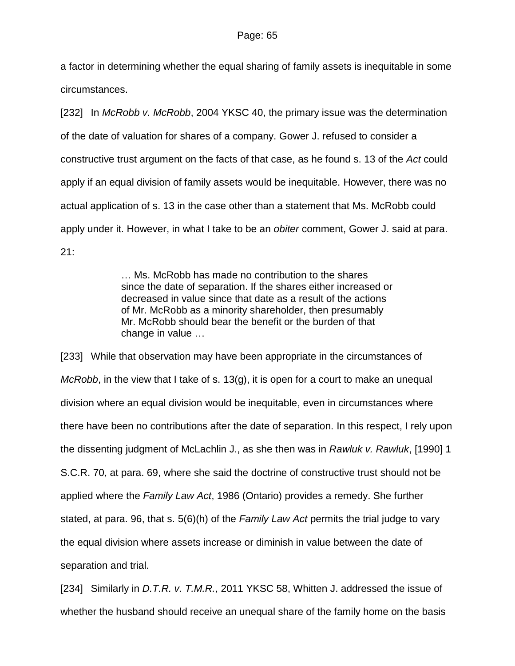a factor in determining whether the equal sharing of family assets is inequitable in some circumstances.

[232] In *McRobb v. McRobb*, 2004 YKSC 40, the primary issue was the determination of the date of valuation for shares of a company. Gower J. refused to consider a constructive trust argument on the facts of that case, as he found s. 13 of the *Act* could apply if an equal division of family assets would be inequitable. However, there was no actual application of s. 13 in the case other than a statement that Ms. McRobb could apply under it. However, in what I take to be an *obiter* comment, Gower J. said at para. 21:

> … Ms. McRobb has made no contribution to the shares since the date of separation. If the shares either increased or decreased in value since that date as a result of the actions of Mr. McRobb as a minority shareholder, then presumably Mr. McRobb should bear the benefit or the burden of that change in value …

[233] While that observation may have been appropriate in the circumstances of *McRobb*, in the view that I take of s. 13(g), it is open for a court to make an unequal division where an equal division would be inequitable, even in circumstances where there have been no contributions after the date of separation. In this respect, I rely upon the dissenting judgment of McLachlin J., as she then was in *Rawluk v. Rawluk*, [1990] 1 S.C.R. 70, at para. 69, where she said the doctrine of constructive trust should not be applied where the *Family Law Act*, 1986 (Ontario) provides a remedy. She further stated, at para. 96, that s. 5(6)(h) of the *Family Law Act* permits the trial judge to vary the equal division where assets increase or diminish in value between the date of separation and trial.

[234] Similarly in *D.T.R. v. T.M.R.*, 2011 YKSC 58, Whitten J. addressed the issue of whether the husband should receive an unequal share of the family home on the basis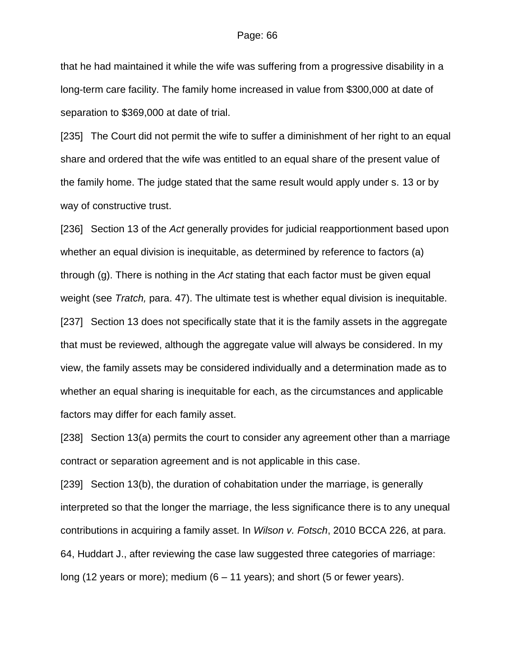that he had maintained it while the wife was suffering from a progressive disability in a long-term care facility. The family home increased in value from \$300,000 at date of separation to \$369,000 at date of trial.

[235] The Court did not permit the wife to suffer a diminishment of her right to an equal share and ordered that the wife was entitled to an equal share of the present value of the family home. The judge stated that the same result would apply under s. 13 or by way of constructive trust.

[236] Section 13 of the *Act* generally provides for judicial reapportionment based upon whether an equal division is inequitable, as determined by reference to factors (a) through (g). There is nothing in the *Act* stating that each factor must be given equal weight (see *Tratch,* para. 47). The ultimate test is whether equal division is inequitable. [237] Section 13 does not specifically state that it is the family assets in the aggregate that must be reviewed, although the aggregate value will always be considered. In my view, the family assets may be considered individually and a determination made as to whether an equal sharing is inequitable for each, as the circumstances and applicable factors may differ for each family asset.

[238] Section 13(a) permits the court to consider any agreement other than a marriage contract or separation agreement and is not applicable in this case.

[239] Section 13(b), the duration of cohabitation under the marriage, is generally interpreted so that the longer the marriage, the less significance there is to any unequal contributions in acquiring a family asset. In *Wilson v. Fotsch*, 2010 BCCA 226, at para. 64, Huddart J., after reviewing the case law suggested three categories of marriage: long (12 years or more); medium (6 – 11 years); and short (5 or fewer years).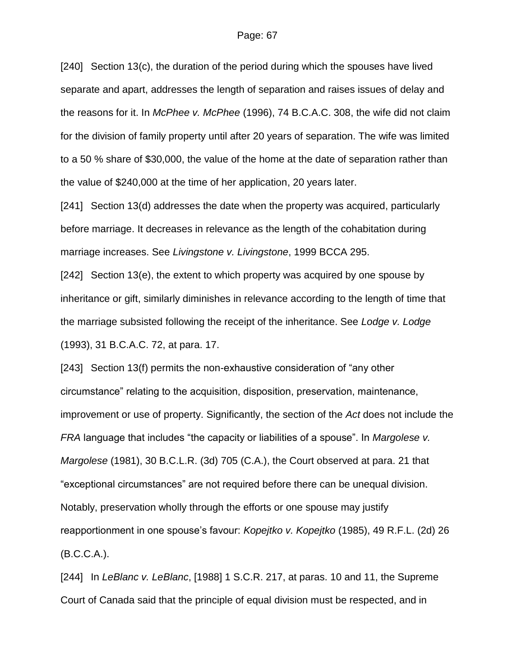[240] Section 13(c), the duration of the period during which the spouses have lived separate and apart, addresses the length of separation and raises issues of delay and the reasons for it. In *McPhee v. McPhee* (1996), 74 B.C.A.C. 308, the wife did not claim for the division of family property until after 20 years of separation. The wife was limited to a 50 % share of \$30,000, the value of the home at the date of separation rather than the value of \$240,000 at the time of her application, 20 years later.

[241] Section 13(d) addresses the date when the property was acquired, particularly before marriage. It decreases in relevance as the length of the cohabitation during marriage increases. See *Livingstone v. Livingstone*, 1999 BCCA 295.

[242] Section 13(e), the extent to which property was acquired by one spouse by inheritance or gift, similarly diminishes in relevance according to the length of time that the marriage subsisted following the receipt of the inheritance. See *Lodge v. Lodge* (1993), 31 B.C.A.C. 72, at para. 17.

[243] Section 13(f) permits the non-exhaustive consideration of "any other circumstance" relating to the acquisition, disposition, preservation, maintenance, improvement or use of property. Significantly, the section of the *Act* does not include the *FRA* language that includes "the capacity or liabilities of a spouse". In *Margolese v. Margolese* (1981), 30 B.C.L.R. (3d) 705 (C.A.), the Court observed at para. 21 that "exceptional circumstances" are not required before there can be unequal division. Notably, preservation wholly through the efforts or one spouse may justify reapportionment in one spouse's favour: *Kopejtko v. Kopejtko* (1985), 49 R.F.L. (2d) 26 (B.C.C.A.).

[244] In *LeBlanc v. LeBlanc*, [1988] 1 S.C.R. 217, at paras. 10 and 11, the Supreme Court of Canada said that the principle of equal division must be respected, and in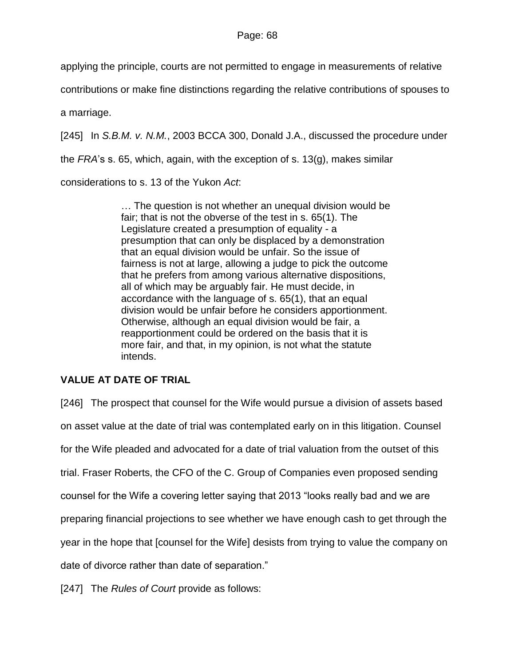applying the principle, courts are not permitted to engage in measurements of relative

contributions or make fine distinctions regarding the relative contributions of spouses to

a marriage.

[245] In *S.B.M. v. N.M.*, 2003 BCCA 300, Donald J.A., discussed the procedure under

the *FRA*'s s. 65, which, again, with the exception of s. 13(g), makes similar

considerations to s. 13 of the Yukon *Act*:

… The question is not whether an unequal division would be fair; that is not the obverse of the test in s. 65(1). The Legislature created a presumption of equality - a presumption that can only be displaced by a demonstration that an equal division would be unfair. So the issue of fairness is not at large, allowing a judge to pick the outcome that he prefers from among various alternative dispositions, all of which may be arguably fair. He must decide, in accordance with the language of s. 65(1), that an equal division would be unfair before he considers apportionment. Otherwise, although an equal division would be fair, a reapportionment could be ordered on the basis that it is more fair, and that, in my opinion, is not what the statute intends.

# **VALUE AT DATE OF TRIAL**

[246] The prospect that counsel for the Wife would pursue a division of assets based on asset value at the date of trial was contemplated early on in this litigation. Counsel for the Wife pleaded and advocated for a date of trial valuation from the outset of this trial. Fraser Roberts, the CFO of the C. Group of Companies even proposed sending counsel for the Wife a covering letter saying that 2013 "looks really bad and we are preparing financial projections to see whether we have enough cash to get through the year in the hope that [counsel for the Wife] desists from trying to value the company on date of divorce rather than date of separation."

[247] The *Rules of Court* provide as follows: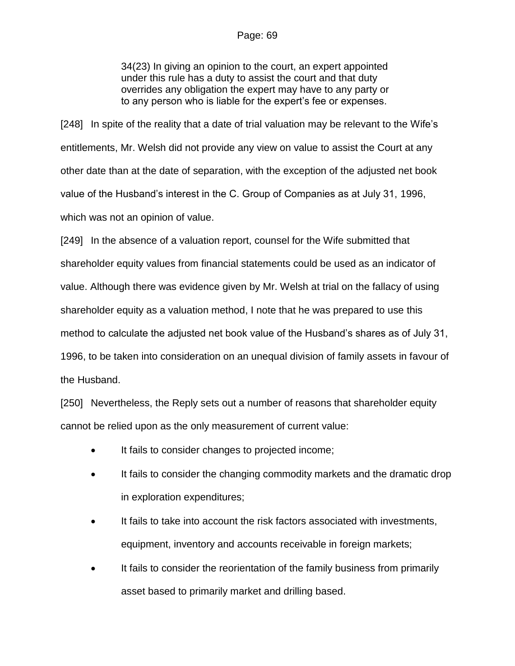34(23) In giving an opinion to the court, an expert appointed under this rule has a duty to assist the court and that duty overrides any obligation the expert may have to any party or to any person who is liable for the expert's fee or expenses.

[248] In spite of the reality that a date of trial valuation may be relevant to the Wife's entitlements, Mr. Welsh did not provide any view on value to assist the Court at any other date than at the date of separation, with the exception of the adjusted net book value of the Husband's interest in the C. Group of Companies as at July 31, 1996, which was not an opinion of value.

[249] In the absence of a valuation report, counsel for the Wife submitted that shareholder equity values from financial statements could be used as an indicator of value. Although there was evidence given by Mr. Welsh at trial on the fallacy of using shareholder equity as a valuation method, I note that he was prepared to use this method to calculate the adjusted net book value of the Husband's shares as of July 31, 1996, to be taken into consideration on an unequal division of family assets in favour of the Husband.

[250] Nevertheless, the Reply sets out a number of reasons that shareholder equity cannot be relied upon as the only measurement of current value:

- It fails to consider changes to projected income;
- It fails to consider the changing commodity markets and the dramatic drop in exploration expenditures;
- It fails to take into account the risk factors associated with investments, equipment, inventory and accounts receivable in foreign markets;
- It fails to consider the reorientation of the family business from primarily asset based to primarily market and drilling based.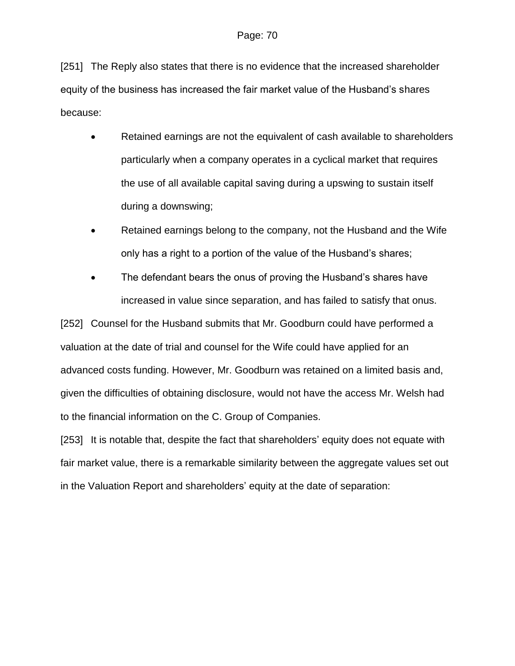[251] The Reply also states that there is no evidence that the increased shareholder equity of the business has increased the fair market value of the Husband's shares because:

- Retained earnings are not the equivalent of cash available to shareholders particularly when a company operates in a cyclical market that requires the use of all available capital saving during a upswing to sustain itself during a downswing;
- Retained earnings belong to the company, not the Husband and the Wife only has a right to a portion of the value of the Husband's shares;
- The defendant bears the onus of proving the Husband's shares have increased in value since separation, and has failed to satisfy that onus.

[252] Counsel for the Husband submits that Mr. Goodburn could have performed a valuation at the date of trial and counsel for the Wife could have applied for an advanced costs funding. However, Mr. Goodburn was retained on a limited basis and, given the difficulties of obtaining disclosure, would not have the access Mr. Welsh had to the financial information on the C. Group of Companies.

[253] It is notable that, despite the fact that shareholders' equity does not equate with fair market value, there is a remarkable similarity between the aggregate values set out in the Valuation Report and shareholders' equity at the date of separation: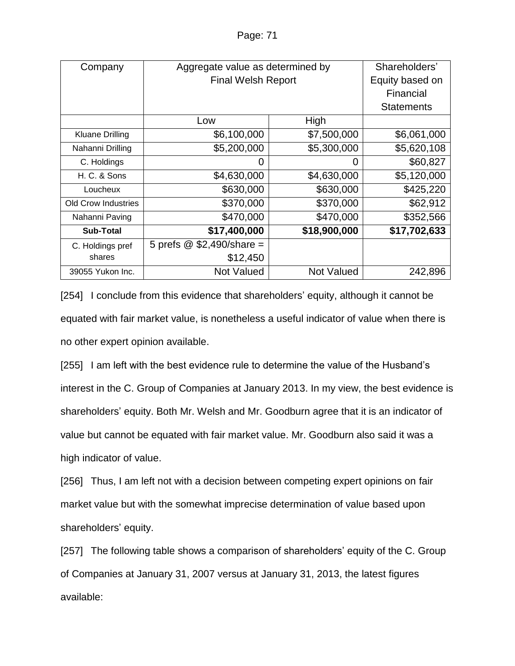| Company                    | Aggregate value as determined by |                   | Shareholders'     |
|----------------------------|----------------------------------|-------------------|-------------------|
|                            | <b>Final Welsh Report</b>        |                   | Equity based on   |
|                            |                                  | Financial         |                   |
|                            |                                  |                   | <b>Statements</b> |
|                            | Low                              | High              |                   |
| <b>Kluane Drilling</b>     | \$6,100,000                      | \$7,500,000       | \$6,061,000       |
| Nahanni Drilling           | \$5,200,000                      | \$5,300,000       | \$5,620,108       |
| C. Holdings                | 0                                | 0                 | \$60,827          |
| H. C. & Sons               | \$4,630,000                      | \$4,630,000       | \$5,120,000       |
| Loucheux                   | \$630,000                        | \$630,000         | \$425,220         |
| <b>Old Crow Industries</b> | \$370,000                        | \$370,000         | \$62,912          |
| Nahanni Paving             | \$470,000                        | \$470,000         | \$352,566         |
| <b>Sub-Total</b>           | \$17,400,000                     | \$18,900,000      | \$17,702,633      |
| C. Holdings pref           | 5 prefs $@$ \$2,490/share =      |                   |                   |
| shares                     | \$12,450                         |                   |                   |
| 39055 Yukon Inc.           | <b>Not Valued</b>                | <b>Not Valued</b> | 242,896           |

[254] I conclude from this evidence that shareholders' equity, although it cannot be equated with fair market value, is nonetheless a useful indicator of value when there is no other expert opinion available.

[255] I am left with the best evidence rule to determine the value of the Husband's interest in the C. Group of Companies at January 2013. In my view, the best evidence is shareholders' equity. Both Mr. Welsh and Mr. Goodburn agree that it is an indicator of value but cannot be equated with fair market value. Mr. Goodburn also said it was a high indicator of value.

[256] Thus, I am left not with a decision between competing expert opinions on fair market value but with the somewhat imprecise determination of value based upon shareholders' equity.

[257] The following table shows a comparison of shareholders' equity of the C. Group of Companies at January 31, 2007 versus at January 31, 2013, the latest figures available: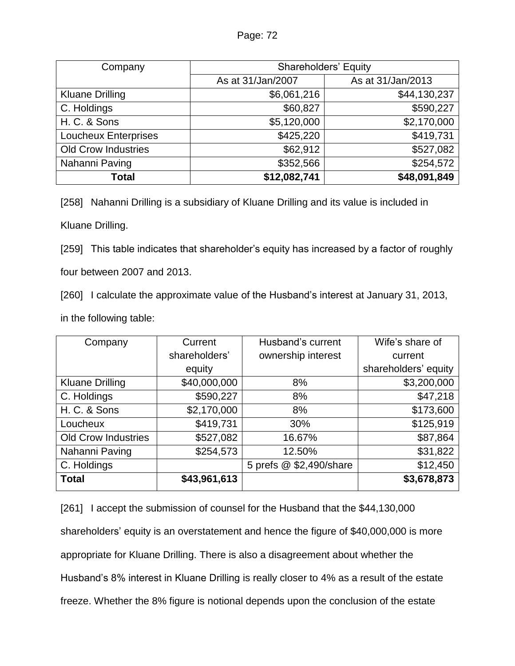| Company                    | <b>Shareholders' Equity</b> |                   |  |
|----------------------------|-----------------------------|-------------------|--|
|                            | As at 31/Jan/2007           | As at 31/Jan/2013 |  |
| <b>Kluane Drilling</b>     | \$6,061,216                 | \$44,130,237      |  |
| C. Holdings                | \$60,827                    | \$590,227         |  |
| H. C. & Sons               | \$5,120,000                 | \$2,170,000       |  |
| Loucheux Enterprises       | \$425,220                   | \$419,731         |  |
| <b>Old Crow Industries</b> | \$62,912                    | \$527,082         |  |
| Nahanni Paving             | \$352,566                   | \$254,572         |  |
| Total                      | \$12,082,741                | \$48,091,849      |  |

[258] Nahanni Drilling is a subsidiary of Kluane Drilling and its value is included in

Kluane Drilling.

[259] This table indicates that shareholder's equity has increased by a factor of roughly

four between 2007 and 2013.

[260] I calculate the approximate value of the Husband's interest at January 31, 2013,

in the following table:

| Company                    | Current       | Husband's current       | Wife's share of      |
|----------------------------|---------------|-------------------------|----------------------|
|                            | shareholders' | ownership interest      | current              |
|                            | equity        |                         | shareholders' equity |
| <b>Kluane Drilling</b>     | \$40,000,000  | 8%                      | \$3,200,000          |
| C. Holdings                | \$590,227     | 8%                      | \$47,218             |
| H. C. & Sons               | \$2,170,000   | 8%                      | \$173,600            |
| Loucheux                   | \$419,731     | 30%                     | \$125,919            |
| <b>Old Crow Industries</b> | \$527,082     | 16.67%                  | \$87,864             |
| Nahanni Paving             | \$254,573     | 12.50%                  | \$31,822             |
| C. Holdings                |               | 5 prefs @ \$2,490/share | \$12,450             |
| <b>Total</b>               | \$43,961,613  |                         | \$3,678,873          |

[261] I accept the submission of counsel for the Husband that the \$44,130,000 shareholders' equity is an overstatement and hence the figure of \$40,000,000 is more appropriate for Kluane Drilling. There is also a disagreement about whether the Husband's 8% interest in Kluane Drilling is really closer to 4% as a result of the estate freeze. Whether the 8% figure is notional depends upon the conclusion of the estate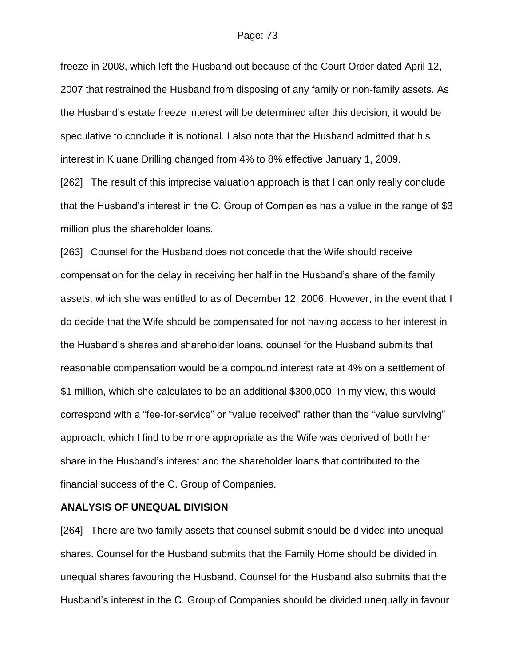freeze in 2008, which left the Husband out because of the Court Order dated April 12, 2007 that restrained the Husband from disposing of any family or non-family assets. As the Husband's estate freeze interest will be determined after this decision, it would be speculative to conclude it is notional. I also note that the Husband admitted that his interest in Kluane Drilling changed from 4% to 8% effective January 1, 2009.

[262] The result of this imprecise valuation approach is that I can only really conclude that the Husband's interest in the C. Group of Companies has a value in the range of \$3 million plus the shareholder loans.

[263] Counsel for the Husband does not concede that the Wife should receive compensation for the delay in receiving her half in the Husband's share of the family assets, which she was entitled to as of December 12, 2006. However, in the event that I do decide that the Wife should be compensated for not having access to her interest in the Husband's shares and shareholder loans, counsel for the Husband submits that reasonable compensation would be a compound interest rate at 4% on a settlement of \$1 million, which she calculates to be an additional \$300,000. In my view, this would correspond with a "fee-for-service" or "value received" rather than the "value surviving" approach, which I find to be more appropriate as the Wife was deprived of both her share in the Husband's interest and the shareholder loans that contributed to the financial success of the C. Group of Companies.

#### **ANALYSIS OF UNEQUAL DIVISION**

[264] There are two family assets that counsel submit should be divided into unequal shares. Counsel for the Husband submits that the Family Home should be divided in unequal shares favouring the Husband. Counsel for the Husband also submits that the Husband's interest in the C. Group of Companies should be divided unequally in favour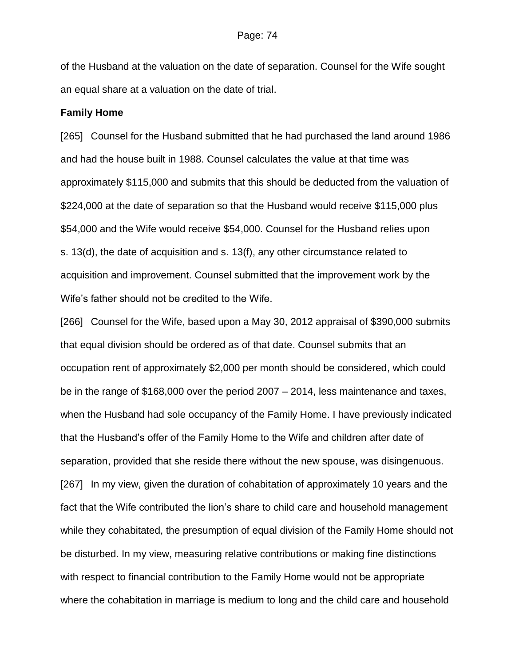of the Husband at the valuation on the date of separation. Counsel for the Wife sought an equal share at a valuation on the date of trial.

#### **Family Home**

[265] Counsel for the Husband submitted that he had purchased the land around 1986 and had the house built in 1988. Counsel calculates the value at that time was approximately \$115,000 and submits that this should be deducted from the valuation of \$224,000 at the date of separation so that the Husband would receive \$115,000 plus \$54,000 and the Wife would receive \$54,000. Counsel for the Husband relies upon s. 13(d), the date of acquisition and s. 13(f), any other circumstance related to acquisition and improvement. Counsel submitted that the improvement work by the Wife's father should not be credited to the Wife.

[266] Counsel for the Wife, based upon a May 30, 2012 appraisal of \$390,000 submits that equal division should be ordered as of that date. Counsel submits that an occupation rent of approximately \$2,000 per month should be considered, which could be in the range of \$168,000 over the period 2007 – 2014, less maintenance and taxes, when the Husband had sole occupancy of the Family Home. I have previously indicated that the Husband's offer of the Family Home to the Wife and children after date of separation, provided that she reside there without the new spouse, was disingenuous. [267] In my view, given the duration of cohabitation of approximately 10 years and the fact that the Wife contributed the lion's share to child care and household management while they cohabitated, the presumption of equal division of the Family Home should not be disturbed. In my view, measuring relative contributions or making fine distinctions with respect to financial contribution to the Family Home would not be appropriate where the cohabitation in marriage is medium to long and the child care and household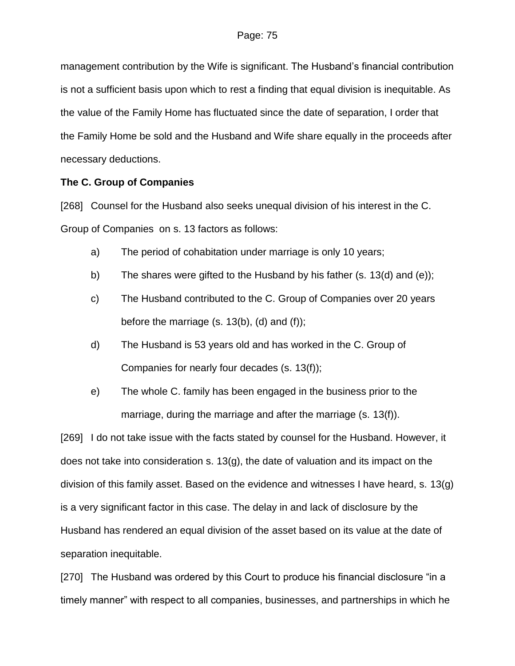management contribution by the Wife is significant. The Husband's financial contribution is not a sufficient basis upon which to rest a finding that equal division is inequitable. As the value of the Family Home has fluctuated since the date of separation, I order that the Family Home be sold and the Husband and Wife share equally in the proceeds after necessary deductions.

## **The C. Group of Companies**

[268] Counsel for the Husband also seeks unequal division of his interest in the C. Group of Companies on s. 13 factors as follows:

- a) The period of cohabitation under marriage is only 10 years;
- b) The shares were gifted to the Husband by his father (s. 13(d) and (e));
- c) The Husband contributed to the C. Group of Companies over 20 years before the marriage  $(s. 13(b), (d)$  and  $(f)$ ;
- d) The Husband is 53 years old and has worked in the C. Group of Companies for nearly four decades (s. 13(f));
- e) The whole C. family has been engaged in the business prior to the marriage, during the marriage and after the marriage (s. 13(f)).

[269] I do not take issue with the facts stated by counsel for the Husband. However, it does not take into consideration s.  $13(q)$ , the date of valuation and its impact on the division of this family asset. Based on the evidence and witnesses I have heard, s. 13(g) is a very significant factor in this case. The delay in and lack of disclosure by the Husband has rendered an equal division of the asset based on its value at the date of separation inequitable.

[270] The Husband was ordered by this Court to produce his financial disclosure "in a timely manner" with respect to all companies, businesses, and partnerships in which he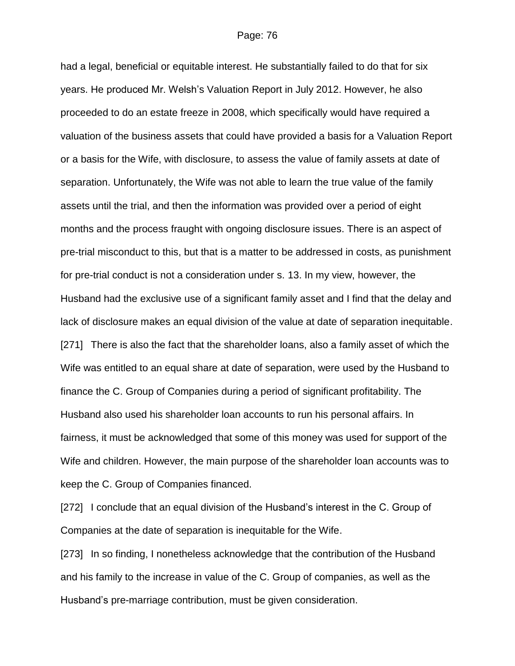had a legal, beneficial or equitable interest. He substantially failed to do that for six years. He produced Mr. Welsh's Valuation Report in July 2012. However, he also proceeded to do an estate freeze in 2008, which specifically would have required a valuation of the business assets that could have provided a basis for a Valuation Report or a basis for the Wife, with disclosure, to assess the value of family assets at date of separation. Unfortunately, the Wife was not able to learn the true value of the family assets until the trial, and then the information was provided over a period of eight months and the process fraught with ongoing disclosure issues. There is an aspect of pre-trial misconduct to this, but that is a matter to be addressed in costs, as punishment for pre-trial conduct is not a consideration under s. 13. In my view, however, the Husband had the exclusive use of a significant family asset and I find that the delay and lack of disclosure makes an equal division of the value at date of separation inequitable. [271] There is also the fact that the shareholder loans, also a family asset of which the Wife was entitled to an equal share at date of separation, were used by the Husband to finance the C. Group of Companies during a period of significant profitability. The Husband also used his shareholder loan accounts to run his personal affairs. In fairness, it must be acknowledged that some of this money was used for support of the Wife and children. However, the main purpose of the shareholder loan accounts was to keep the C. Group of Companies financed.

[272] I conclude that an equal division of the Husband's interest in the C. Group of Companies at the date of separation is inequitable for the Wife.

[273] In so finding, I nonetheless acknowledge that the contribution of the Husband and his family to the increase in value of the C. Group of companies, as well as the Husband's pre-marriage contribution, must be given consideration.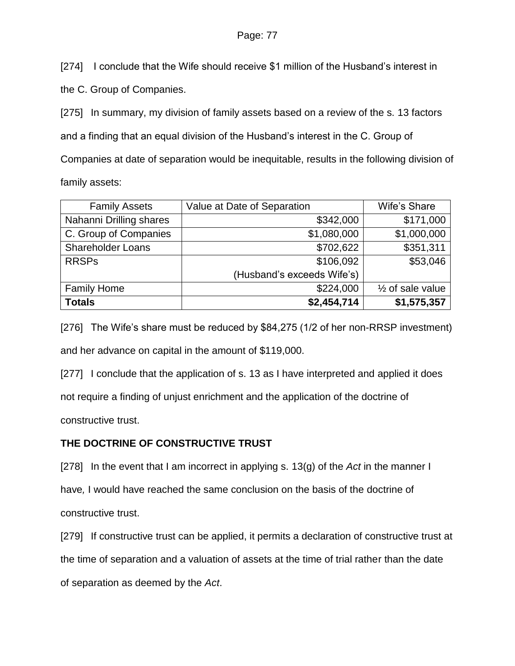[274] I conclude that the Wife should receive \$1 million of the Husband's interest in

the C. Group of Companies.

[275] In summary, my division of family assets based on a review of the s. 13 factors and a finding that an equal division of the Husband's interest in the C. Group of Companies at date of separation would be inequitable, results in the following division of family assets:

| <b>Family Assets</b>     | Value at Date of Separation | Wife's Share                |
|--------------------------|-----------------------------|-----------------------------|
| Nahanni Drilling shares  | \$342,000                   | \$171,000                   |
| C. Group of Companies    | \$1,080,000                 | \$1,000,000                 |
| <b>Shareholder Loans</b> | \$702,622                   | \$351,311                   |
| <b>RRSPs</b>             | \$106,092                   | \$53,046                    |
|                          | (Husband's exceeds Wife's)  |                             |
| <b>Family Home</b>       | \$224,000                   | $\frac{1}{2}$ of sale value |
| <b>Totals</b>            | \$2,454,714                 | \$1,575,357                 |

[276] The Wife's share must be reduced by \$84,275 (1/2 of her non-RRSP investment) and her advance on capital in the amount of \$119,000.

[277] I conclude that the application of s. 13 as I have interpreted and applied it does not require a finding of unjust enrichment and the application of the doctrine of constructive trust.

# **THE DOCTRINE OF CONSTRUCTIVE TRUST**

[278] In the event that I am incorrect in applying s. 13(g) of the *Act* in the manner I

have*,* I would have reached the same conclusion on the basis of the doctrine of constructive trust.

[279] If constructive trust can be applied, it permits a declaration of constructive trust at the time of separation and a valuation of assets at the time of trial rather than the date of separation as deemed by the *Act*.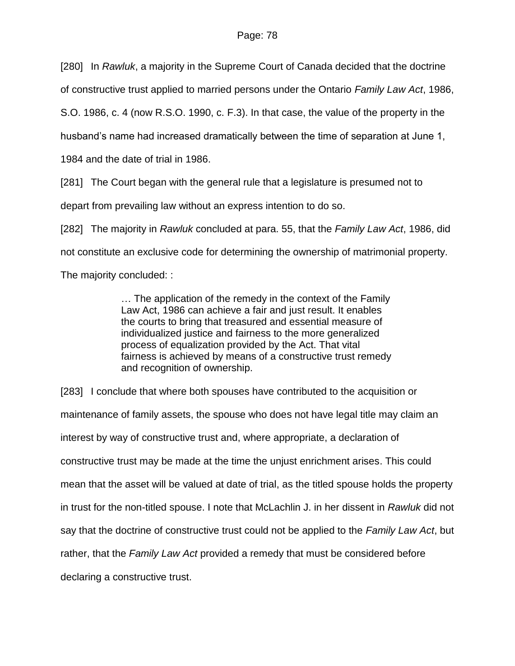[280] In *Rawluk*, a majority in the Supreme Court of Canada decided that the doctrine

of constructive trust applied to married persons under the Ontario *Family Law Act*, 1986,

S.O. 1986, c. 4 (now R.S.O. 1990, c. F.3). In that case, the value of the property in the

husband's name had increased dramatically between the time of separation at June 1,

1984 and the date of trial in 1986.

[281] The Court began with the general rule that a legislature is presumed not to

depart from prevailing law without an express intention to do so.

[282] The majority in *Rawluk* concluded at para. 55, that the *Family Law Act*, 1986, did not constitute an exclusive code for determining the ownership of matrimonial property.

The majority concluded: :

… The application of the remedy in the context of the Family Law Act, 1986 can achieve a fair and just result. It enables the courts to bring that treasured and essential measure of individualized justice and fairness to the more generalized process of equalization provided by the Act. That vital fairness is achieved by means of a constructive trust remedy and recognition of ownership.

[283] I conclude that where both spouses have contributed to the acquisition or maintenance of family assets, the spouse who does not have legal title may claim an interest by way of constructive trust and, where appropriate, a declaration of constructive trust may be made at the time the unjust enrichment arises. This could mean that the asset will be valued at date of trial, as the titled spouse holds the property in trust for the non-titled spouse. I note that McLachlin J. in her dissent in *Rawluk* did not say that the doctrine of constructive trust could not be applied to the *Family Law Act*, but rather, that the *Family Law Act* provided a remedy that must be considered before declaring a constructive trust.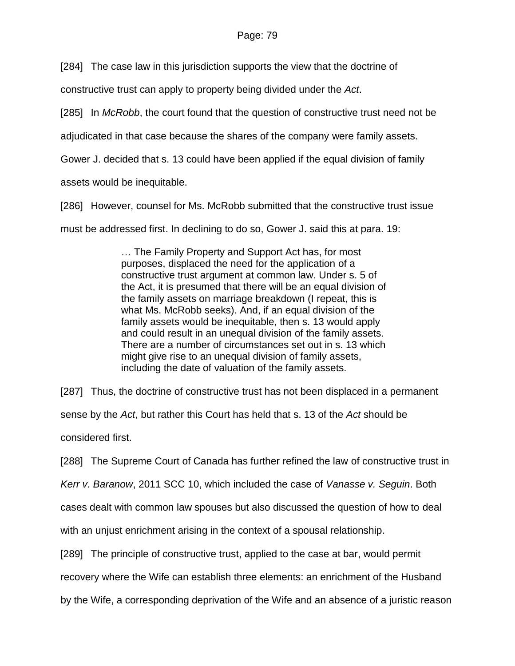### Page: 79

[284] The case law in this jurisdiction supports the view that the doctrine of

constructive trust can apply to property being divided under the *Act*.

[285] In *McRobb*, the court found that the question of constructive trust need not be

adjudicated in that case because the shares of the company were family assets.

Gower J. decided that s. 13 could have been applied if the equal division of family

assets would be inequitable.

[286] However, counsel for Ms. McRobb submitted that the constructive trust issue

must be addressed first. In declining to do so, Gower J. said this at para. 19:

… The Family Property and Support Act has, for most purposes, displaced the need for the application of a constructive trust argument at common law. Under s. 5 of the Act, it is presumed that there will be an equal division of the family assets on marriage breakdown (I repeat, this is what Ms. McRobb seeks). And, if an equal division of the family assets would be inequitable, then s. 13 would apply and could result in an unequal division of the family assets. There are a number of circumstances set out in s. 13 which might give rise to an unequal division of family assets, including the date of valuation of the family assets.

[287] Thus, the doctrine of constructive trust has not been displaced in a permanent sense by the *Act*, but rather this Court has held that s. 13 of the *Act* should be considered first.

[288] The Supreme Court of Canada has further refined the law of constructive trust in

*Kerr v. Baranow*, 2011 SCC 10, which included the case of *Vanasse v. Seguin*. Both

cases dealt with common law spouses but also discussed the question of how to deal

with an unjust enrichment arising in the context of a spousal relationship.

[289] The principle of constructive trust, applied to the case at bar, would permit

recovery where the Wife can establish three elements: an enrichment of the Husband

by the Wife, a corresponding deprivation of the Wife and an absence of a juristic reason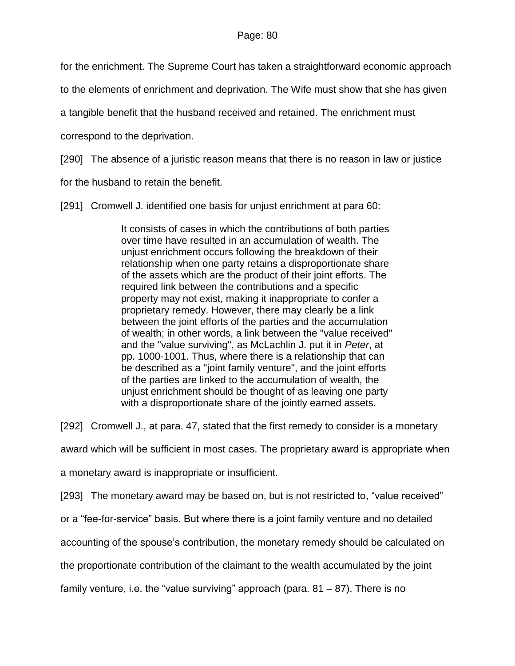for the enrichment. The Supreme Court has taken a straightforward economic approach

to the elements of enrichment and deprivation. The Wife must show that she has given

a tangible benefit that the husband received and retained. The enrichment must

correspond to the deprivation.

[290] The absence of a juristic reason means that there is no reason in law or justice

for the husband to retain the benefit.

[291] Cromwell J. identified one basis for unjust enrichment at para 60:

It consists of cases in which the contributions of both parties over time have resulted in an accumulation of wealth. The unjust enrichment occurs following the breakdown of their relationship when one party retains a disproportionate share of the assets which are the product of their joint efforts. The required link between the contributions and a specific property may not exist, making it inappropriate to confer a proprietary remedy. However, there may clearly be a link between the joint efforts of the parties and the accumulation of wealth; in other words, a link between the "value received" and the "value surviving", as McLachlin J. put it in *Peter*, at pp. 1000-1001. Thus, where there is a relationship that can be described as a "joint family venture", and the joint efforts of the parties are linked to the accumulation of wealth, the unjust enrichment should be thought of as leaving one party with a disproportionate share of the jointly earned assets.

[292] Cromwell J., at para. 47, stated that the first remedy to consider is a monetary

award which will be sufficient in most cases. The proprietary award is appropriate when

a monetary award is inappropriate or insufficient.

[293] The monetary award may be based on, but is not restricted to, "value received"

or a "fee-for-service" basis. But where there is a joint family venture and no detailed

accounting of the spouse's contribution, the monetary remedy should be calculated on

the proportionate contribution of the claimant to the wealth accumulated by the joint

family venture, i.e. the "value surviving" approach (para.  $81 - 87$ ). There is no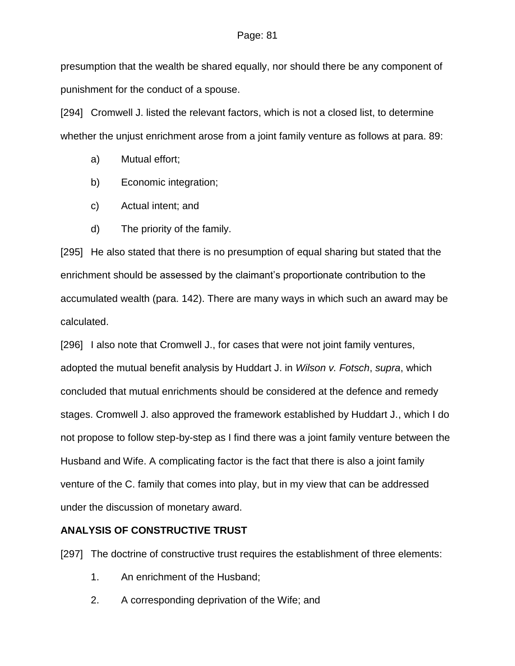#### Page: 81

presumption that the wealth be shared equally, nor should there be any component of punishment for the conduct of a spouse.

[294] Cromwell J. listed the relevant factors, which is not a closed list, to determine whether the unjust enrichment arose from a joint family venture as follows at para. 89:

- a) Mutual effort;
- b) Economic integration;
- c) Actual intent; and
- d) The priority of the family.

[295] He also stated that there is no presumption of equal sharing but stated that the enrichment should be assessed by the claimant's proportionate contribution to the accumulated wealth (para. 142). There are many ways in which such an award may be calculated.

[296] I also note that Cromwell J., for cases that were not joint family ventures, adopted the mutual benefit analysis by Huddart J. in *Wilson v. Fotsch*, *supra*, which concluded that mutual enrichments should be considered at the defence and remedy stages. Cromwell J. also approved the framework established by Huddart J., which I do not propose to follow step-by-step as I find there was a joint family venture between the Husband and Wife. A complicating factor is the fact that there is also a joint family venture of the C. family that comes into play, but in my view that can be addressed under the discussion of monetary award.

## **ANALYSIS OF CONSTRUCTIVE TRUST**

[297] The doctrine of constructive trust requires the establishment of three elements:

- 1. An enrichment of the Husband;
- 2. A corresponding deprivation of the Wife; and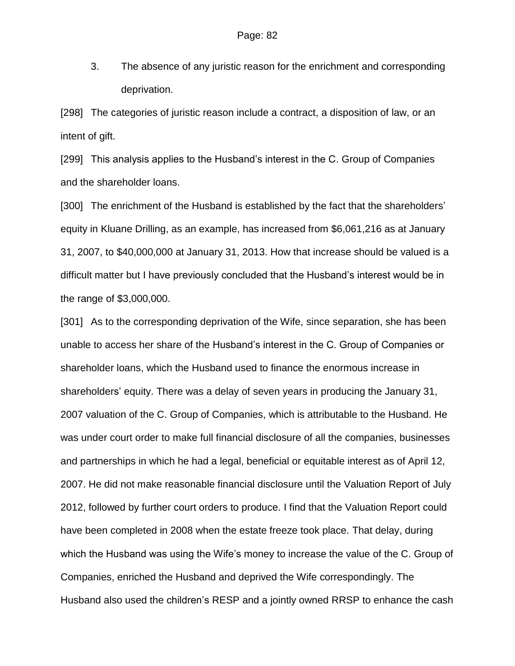3. The absence of any juristic reason for the enrichment and corresponding deprivation.

[298] The categories of juristic reason include a contract, a disposition of law, or an intent of gift.

[299] This analysis applies to the Husband's interest in the C. Group of Companies and the shareholder loans.

[300] The enrichment of the Husband is established by the fact that the shareholders' equity in Kluane Drilling, as an example, has increased from \$6,061,216 as at January 31, 2007, to \$40,000,000 at January 31, 2013. How that increase should be valued is a difficult matter but I have previously concluded that the Husband's interest would be in the range of \$3,000,000.

[301] As to the corresponding deprivation of the Wife, since separation, she has been unable to access her share of the Husband's interest in the C. Group of Companies or shareholder loans, which the Husband used to finance the enormous increase in shareholders' equity. There was a delay of seven years in producing the January 31, 2007 valuation of the C. Group of Companies, which is attributable to the Husband. He was under court order to make full financial disclosure of all the companies, businesses and partnerships in which he had a legal, beneficial or equitable interest as of April 12, 2007. He did not make reasonable financial disclosure until the Valuation Report of July 2012, followed by further court orders to produce. I find that the Valuation Report could have been completed in 2008 when the estate freeze took place. That delay, during which the Husband was using the Wife's money to increase the value of the C. Group of Companies, enriched the Husband and deprived the Wife correspondingly. The Husband also used the children's RESP and a jointly owned RRSP to enhance the cash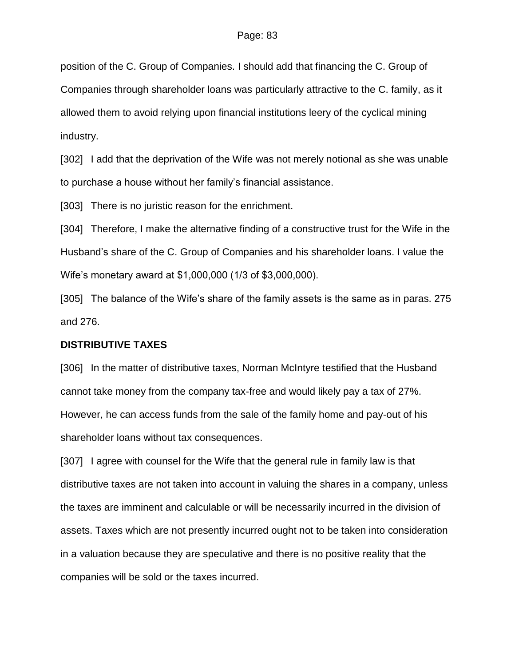position of the C. Group of Companies. I should add that financing the C. Group of Companies through shareholder loans was particularly attractive to the C. family, as it allowed them to avoid relying upon financial institutions leery of the cyclical mining industry.

[302] I add that the deprivation of the Wife was not merely notional as she was unable to purchase a house without her family's financial assistance.

[303] There is no juristic reason for the enrichment.

[304] Therefore, I make the alternative finding of a constructive trust for the Wife in the Husband's share of the C. Group of Companies and his shareholder loans. I value the Wife's monetary award at \$1,000,000 (1/3 of \$3,000,000).

[305] The balance of the Wife's share of the family assets is the same as in paras. 275 and 276.

#### **DISTRIBUTIVE TAXES**

[306] In the matter of distributive taxes, Norman McIntyre testified that the Husband cannot take money from the company tax-free and would likely pay a tax of 27%. However, he can access funds from the sale of the family home and pay-out of his shareholder loans without tax consequences.

[307] I agree with counsel for the Wife that the general rule in family law is that distributive taxes are not taken into account in valuing the shares in a company, unless the taxes are imminent and calculable or will be necessarily incurred in the division of assets. Taxes which are not presently incurred ought not to be taken into consideration in a valuation because they are speculative and there is no positive reality that the companies will be sold or the taxes incurred.